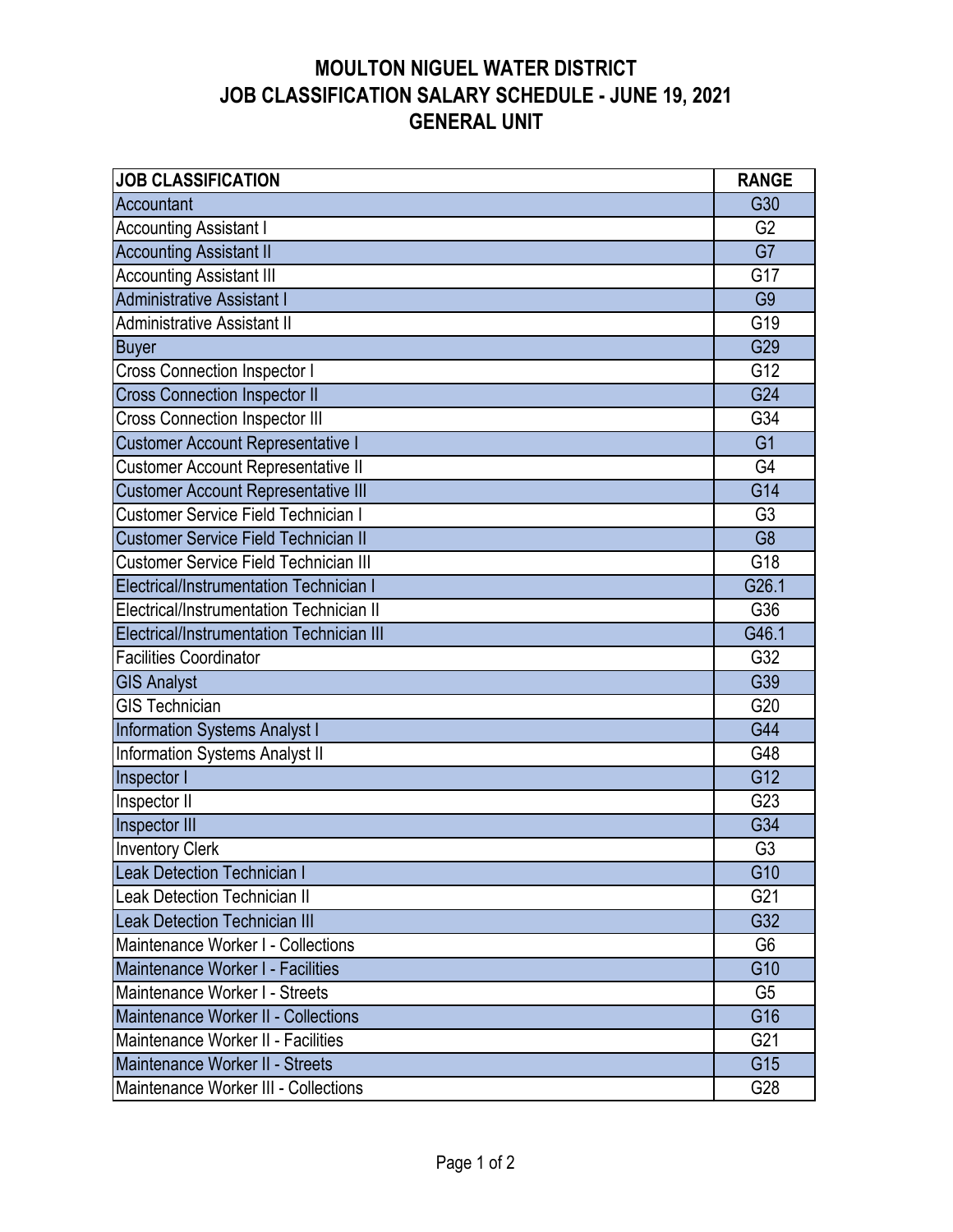| <b>JOB CLASSIFICATION</b>                    | <b>RANGE</b>    |
|----------------------------------------------|-----------------|
| Accountant                                   | G30             |
| <b>Accounting Assistant I</b>                | G <sub>2</sub>  |
| <b>Accounting Assistant II</b>               | G7              |
| <b>Accounting Assistant III</b>              | G17             |
| <b>Administrative Assistant I</b>            | G <sub>9</sub>  |
| <b>Administrative Assistant II</b>           | G19             |
| <b>Buyer</b>                                 | G29             |
| <b>Cross Connection Inspector I</b>          | G12             |
| <b>Cross Connection Inspector II</b>         | G24             |
| <b>Cross Connection Inspector III</b>        | G34             |
| <b>Customer Account Representative I</b>     | G <sub>1</sub>  |
| <b>Customer Account Representative II</b>    | G4              |
| <b>Customer Account Representative III</b>   | G14             |
| Customer Service Field Technician I          | G <sub>3</sub>  |
| <b>Customer Service Field Technician II</b>  | G <sub>8</sub>  |
| <b>Customer Service Field Technician III</b> | G18             |
| Electrical/Instrumentation Technician I      | G26.1           |
| Electrical/Instrumentation Technician II     | G36             |
| Electrical/Instrumentation Technician III    | G46.1           |
| <b>Facilities Coordinator</b>                | G32             |
| <b>GIS Analyst</b>                           | G39             |
| <b>GIS Technician</b>                        | G20             |
| Information Systems Analyst I                | G44             |
| Information Systems Analyst II               | G48             |
| Inspector I                                  | G12             |
| Inspector II                                 | G23             |
| Inspector III                                | G34             |
| <b>Inventory Clerk</b>                       | G <sub>3</sub>  |
| <b>Leak Detection Technician I</b>           | G <sub>10</sub> |
| <b>Leak Detection Technician II</b>          | G21             |
| Leak Detection Technician III                | G32             |
| Maintenance Worker I - Collections           | G <sub>6</sub>  |
| Maintenance Worker I - Facilities            | G10             |
| Maintenance Worker I - Streets               | G <sub>5</sub>  |
| Maintenance Worker II - Collections          | G16             |
| Maintenance Worker II - Facilities           | G21             |
| Maintenance Worker II - Streets              | G15             |
| Maintenance Worker III - Collections         | G28             |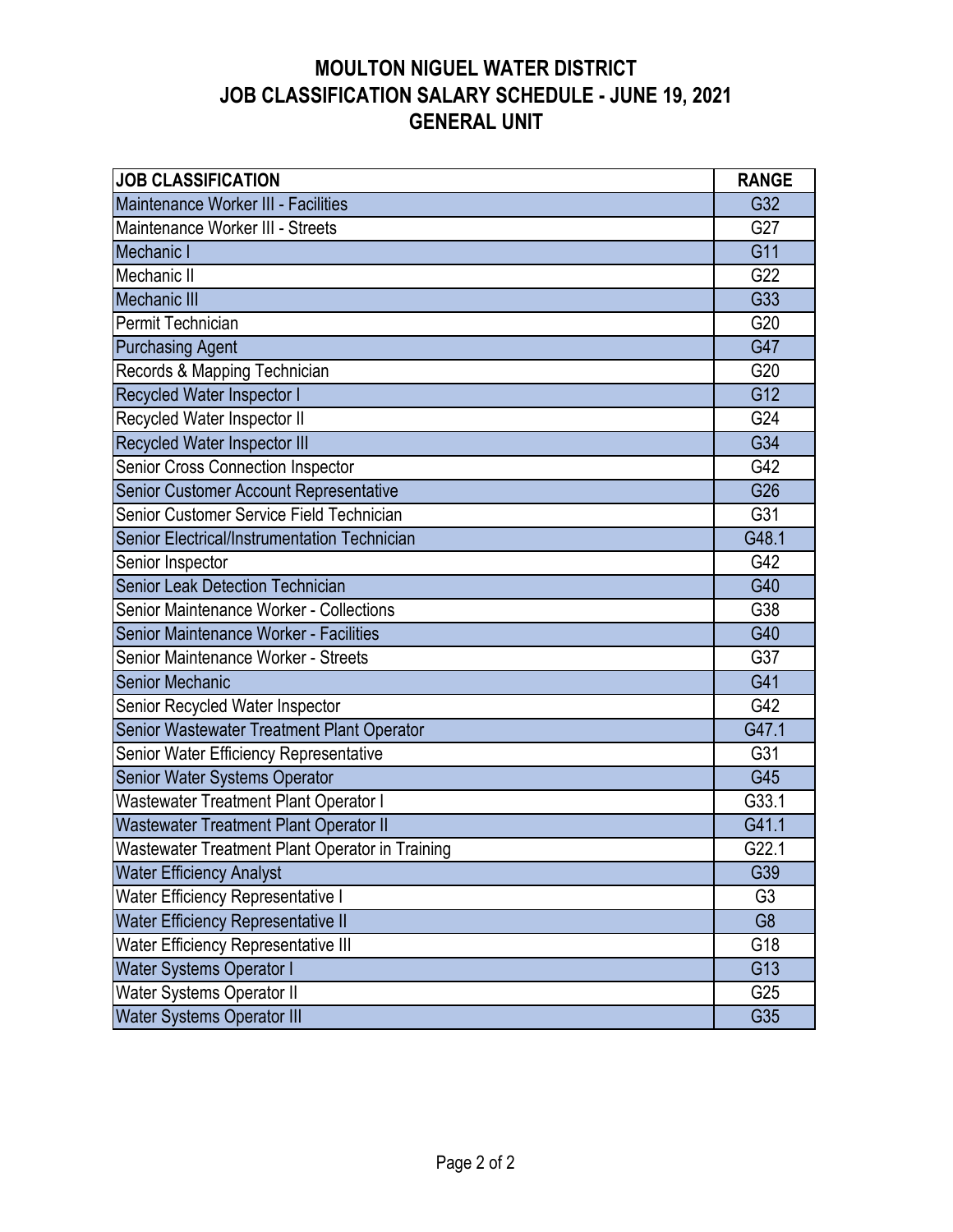| <b>JOB CLASSIFICATION</b>                       | <b>RANGE</b>   |
|-------------------------------------------------|----------------|
| Maintenance Worker III - Facilities             | G32            |
| Maintenance Worker III - Streets                | G27            |
| Mechanic I                                      | G11            |
| Mechanic II                                     | G22            |
| <b>Mechanic III</b>                             | G33            |
| Permit Technician                               | G20            |
| <b>Purchasing Agent</b>                         | G47            |
| Records & Mapping Technician                    | G20            |
| Recycled Water Inspector I                      | G12            |
| Recycled Water Inspector II                     | G24            |
| Recycled Water Inspector III                    | G34            |
| Senior Cross Connection Inspector               | G42            |
| Senior Customer Account Representative          | G26            |
| Senior Customer Service Field Technician        | G31            |
| Senior Electrical/Instrumentation Technician    | G48.1          |
| Senior Inspector                                | G42            |
| <b>Senior Leak Detection Technician</b>         | G40            |
| Senior Maintenance Worker - Collections         | G38            |
| Senior Maintenance Worker - Facilities          | G40            |
| Senior Maintenance Worker - Streets             | G37            |
| Senior Mechanic                                 | G41            |
| Senior Recycled Water Inspector                 | G42            |
| Senior Wastewater Treatment Plant Operator      | G47.1          |
| Senior Water Efficiency Representative          | G31            |
| Senior Water Systems Operator                   | G45            |
| Wastewater Treatment Plant Operator I           | G33.1          |
| Wastewater Treatment Plant Operator II          | G41.1          |
| Wastewater Treatment Plant Operator in Training | G22.1          |
| <b>Water Efficiency Analyst</b>                 | G39            |
| Water Efficiency Representative I               | G <sub>3</sub> |
| Water Efficiency Representative II              | G <sub>8</sub> |
| Water Efficiency Representative III             | G18            |
| <b>Water Systems Operator I</b>                 | G13            |
| <b>Water Systems Operator II</b>                | G25            |
| <b>Water Systems Operator III</b>               | G35            |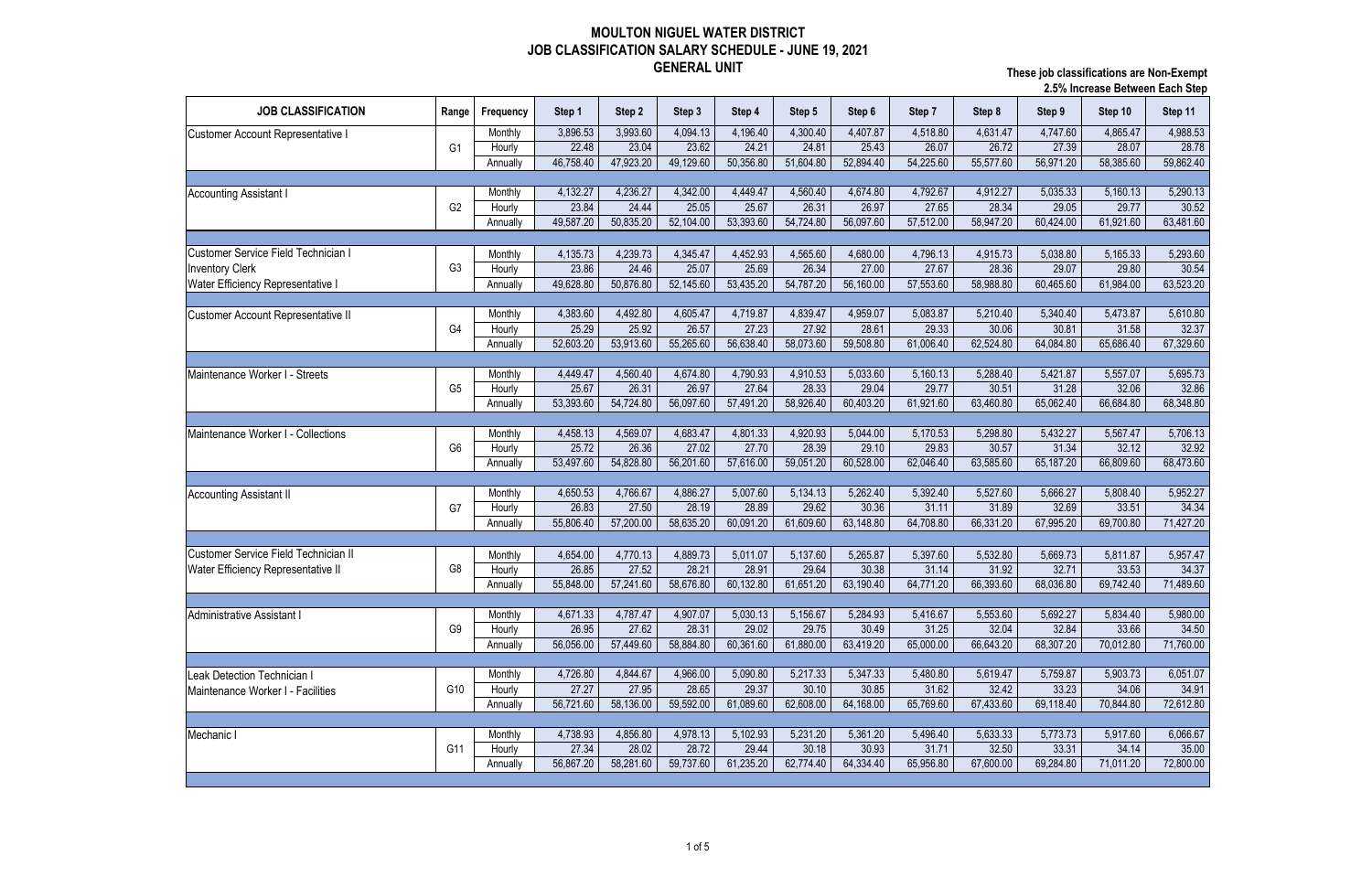| <b>JOB CLASSIFICATION</b><br>Range<br>Frequency<br>Step 3<br>Step 4<br>Step 6<br>Step 7<br>Step 11<br>Step 1<br>Step 2<br>Step 5<br>Step 8<br>Step 9<br>Step 10<br>3,896.53<br>3,993.60<br>4,094.13<br>4,196.40<br>4,300.40<br>4,407.87<br>4,518.80<br>4,631.47<br>4,747.60<br>4,865.47<br>Monthly<br>Customer Account Representative<br>23.62<br>23.04<br>24.21<br>26.07<br>26.72<br>27.39<br>G <sub>1</sub><br>22.48<br>24.81<br>25.43<br>28.07<br>28.78<br>Hourly<br>47,923.20<br>49,129.60<br>50,356.80<br>51,604.80<br>52,894.40<br>56,971.20<br>46,758.40<br>54,225.60<br>55,577.60<br>58,385.60<br>Annually<br>4,132.27<br>4,236.27<br>4,342.00<br>4,449.47<br>4,560.40<br>4,674.80<br>4,792.67<br>4,912.27<br>5,160.13<br>5,290.13<br>5,035.33<br>Monthly<br>23.84<br>24.44<br>25.05<br>25.67<br>26.31<br>26.97<br>27.65<br>28.34<br>29.77<br>29.05<br>G <sub>2</sub><br>Hourly<br>52,104.00<br>53,393.60<br>54,724.80<br>56,097.60<br>58,947.20<br>60,424.00<br>63,481.60<br>49,587.20<br>50,835.20<br>57,512.00<br>61,921.60<br>Annually<br>4,239.73<br>4,345.47<br>4,452.93<br>4,565.60<br>4,796.13<br>Monthly<br>4,135.73<br>4,680.00<br>4,915.73<br>5,038.80<br>5,165.33<br>5,293.60<br>G <sub>3</sub><br>25.07<br>25.69<br>28.36<br>23.86<br>24.46<br>26.34<br>27.00<br>27.67<br>29.07<br>29.80<br>30.54<br>Hourly<br>50,876.80<br>52,145.60<br>53,435.20<br>54,787.20<br>56,160.00<br>58,988.80<br>60,465.60<br>61,984.00<br>63,523.20<br>49,628.80<br>57,553.60<br>Annually<br>4,383.60<br>4,492.80<br>4,605.47<br>4,719.87<br>4,839.47<br>4,959.07<br>5,083.87<br>5,473.87<br>5,610.80<br>5,210.40<br>5,340.40<br>Monthly<br>26.57<br>25.92<br>27.23<br>27.92<br>30.06<br>25.29<br>28.61<br>29.33<br>30.81<br>31.58<br>32.37<br>G4<br>Hourly<br>56,638.40<br>59,508.80<br>62,524.80<br>67,329.60<br>52,603.20<br>53,913.60<br>55,265.60<br>58,073.60<br>61,006.40<br>64,084.80<br>65,686.40<br>Annually<br>4,674.80<br>4,449.47<br>4,560.40<br>4,790.93<br>4,910.53<br>5,033.60<br>5,160.13<br>5,288.40<br>5,421.87<br>5,557.07<br>5,695.73<br>Monthly<br>25.67<br>26.31<br>26.97<br>27.64<br>28.33<br>29.04<br>29.77<br>30.51<br>32.06<br>32.86<br>31.28<br>G <sub>5</sub><br>Hourly<br>57,491.20<br>58,926.40<br>60,403.20<br>63,460.80<br>53,393.60<br>54,724.80<br>56,097.60<br>61,921.60<br>65,062.40<br>66,684.80<br>68,348.80<br>Annually<br>4,458.13<br>4,569.07<br>4,683.47<br>4,801.33<br>4,920.93<br>5,044.00<br>5,170.53<br>5,298.80<br>5,432.27<br>5,567.47<br>Monthly<br>Maintenance Worker I - Collections<br>27.02<br>27.70<br>30.57<br>25.72<br>26.36<br>28.39<br>29.10<br>29.83<br>31.34<br>32.12<br>G <sub>6</sub><br>Hourly<br>56,201.60<br>57,616.00<br>60,528.00<br>54,828.80<br>59,051.20<br>62,046.40<br>63,585.60<br>65,187.20<br>66,809.60<br>68,473.60<br>53,497.60<br>Annually<br>4,766.67<br>4,886.27<br>5,007.60<br>5,134.13<br>5,262.40<br>5,392.40<br>5,527.60<br>5,666.27<br>5,952.27<br>4,650.53<br>5,808.40<br>Monthly<br><b>Accounting Assistant II</b><br>26.83<br>27.50<br>28.19<br>28.89<br>29.62<br>31.11<br>31.89<br>33.51<br>34.34<br>30.36<br>32.69<br>G7<br>Hourly<br>57,200.00<br>58,635.20<br>60,091.20<br>61,609.60<br>63,148.80<br>66,331.20<br>67,995.20<br>71,427.20<br>55,806.40<br>64,708.80<br>69,700.80<br>Annually<br>Customer Service Field Technician II<br>4,770.13<br>4,889.73<br>5,011.07<br>5,137.60<br>5,265.87<br>5,397.60<br>5,532.80<br>5,669.73<br>5,811.87<br>5,957.47<br>Monthly<br>4,654.00<br>G8<br>28.21<br>26.85<br>27.52<br>28.91<br>29.64<br>31.92<br>32.71<br>33.53<br>34.37<br><b>Water Efficiency Representative II</b><br>30.38<br>31.14<br>Hourly<br>57,241.60<br>58,676.80<br>60,132.80<br>61,651.20<br>63,190.40<br>64,771.20<br>66,393.60<br>68,036.80<br>69,742.40<br>55,848.00<br>Annually<br>4,671.33<br>5,030.13<br>5,156.67<br>5,980.00<br>4,787.47<br>4,907.07<br>5,284.93<br>5,416.67<br>5,553.60<br>5,692.27<br>5,834.40<br>Monthly<br><b>Administrative Assistant</b><br>28.31<br>32.04<br>26.95<br>27.62<br>29.02<br>29.75<br>30.49<br>31.25<br>32.84<br>33.66<br>34.50<br>G9<br>Hourly |                                            |  |  |  |  |  |  | <b>2.5% increase between Each Step</b> |          |
|------------------------------------------------------------------------------------------------------------------------------------------------------------------------------------------------------------------------------------------------------------------------------------------------------------------------------------------------------------------------------------------------------------------------------------------------------------------------------------------------------------------------------------------------------------------------------------------------------------------------------------------------------------------------------------------------------------------------------------------------------------------------------------------------------------------------------------------------------------------------------------------------------------------------------------------------------------------------------------------------------------------------------------------------------------------------------------------------------------------------------------------------------------------------------------------------------------------------------------------------------------------------------------------------------------------------------------------------------------------------------------------------------------------------------------------------------------------------------------------------------------------------------------------------------------------------------------------------------------------------------------------------------------------------------------------------------------------------------------------------------------------------------------------------------------------------------------------------------------------------------------------------------------------------------------------------------------------------------------------------------------------------------------------------------------------------------------------------------------------------------------------------------------------------------------------------------------------------------------------------------------------------------------------------------------------------------------------------------------------------------------------------------------------------------------------------------------------------------------------------------------------------------------------------------------------------------------------------------------------------------------------------------------------------------------------------------------------------------------------------------------------------------------------------------------------------------------------------------------------------------------------------------------------------------------------------------------------------------------------------------------------------------------------------------------------------------------------------------------------------------------------------------------------------------------------------------------------------------------------------------------------------------------------------------------------------------------------------------------------------------------------------------------------------------------------------------------------------------------------------------------------------------------------------------------------------------------------------------------------------------------------------------------------------------------------------------------------------------------------------------------------------------------------------------------------------------------------------------------------------------------------------------------------------------------------------------------------------------------------------------------------------------------------------------------------------------------------------------|--------------------------------------------|--|--|--|--|--|--|----------------------------------------|----------|
|                                                                                                                                                                                                                                                                                                                                                                                                                                                                                                                                                                                                                                                                                                                                                                                                                                                                                                                                                                                                                                                                                                                                                                                                                                                                                                                                                                                                                                                                                                                                                                                                                                                                                                                                                                                                                                                                                                                                                                                                                                                                                                                                                                                                                                                                                                                                                                                                                                                                                                                                                                                                                                                                                                                                                                                                                                                                                                                                                                                                                                                                                                                                                                                                                                                                                                                                                                                                                                                                                                                                                                                                                                                                                                                                                                                                                                                                                                                                                                                                                                                                                                      |                                            |  |  |  |  |  |  |                                        |          |
| 59,862.40<br>30.52<br>5,706.13<br>32.92<br>71,489.60                                                                                                                                                                                                                                                                                                                                                                                                                                                                                                                                                                                                                                                                                                                                                                                                                                                                                                                                                                                                                                                                                                                                                                                                                                                                                                                                                                                                                                                                                                                                                                                                                                                                                                                                                                                                                                                                                                                                                                                                                                                                                                                                                                                                                                                                                                                                                                                                                                                                                                                                                                                                                                                                                                                                                                                                                                                                                                                                                                                                                                                                                                                                                                                                                                                                                                                                                                                                                                                                                                                                                                                                                                                                                                                                                                                                                                                                                                                                                                                                                                                 |                                            |  |  |  |  |  |  |                                        | 4,988.53 |
|                                                                                                                                                                                                                                                                                                                                                                                                                                                                                                                                                                                                                                                                                                                                                                                                                                                                                                                                                                                                                                                                                                                                                                                                                                                                                                                                                                                                                                                                                                                                                                                                                                                                                                                                                                                                                                                                                                                                                                                                                                                                                                                                                                                                                                                                                                                                                                                                                                                                                                                                                                                                                                                                                                                                                                                                                                                                                                                                                                                                                                                                                                                                                                                                                                                                                                                                                                                                                                                                                                                                                                                                                                                                                                                                                                                                                                                                                                                                                                                                                                                                                                      |                                            |  |  |  |  |  |  |                                        |          |
|                                                                                                                                                                                                                                                                                                                                                                                                                                                                                                                                                                                                                                                                                                                                                                                                                                                                                                                                                                                                                                                                                                                                                                                                                                                                                                                                                                                                                                                                                                                                                                                                                                                                                                                                                                                                                                                                                                                                                                                                                                                                                                                                                                                                                                                                                                                                                                                                                                                                                                                                                                                                                                                                                                                                                                                                                                                                                                                                                                                                                                                                                                                                                                                                                                                                                                                                                                                                                                                                                                                                                                                                                                                                                                                                                                                                                                                                                                                                                                                                                                                                                                      |                                            |  |  |  |  |  |  |                                        |          |
|                                                                                                                                                                                                                                                                                                                                                                                                                                                                                                                                                                                                                                                                                                                                                                                                                                                                                                                                                                                                                                                                                                                                                                                                                                                                                                                                                                                                                                                                                                                                                                                                                                                                                                                                                                                                                                                                                                                                                                                                                                                                                                                                                                                                                                                                                                                                                                                                                                                                                                                                                                                                                                                                                                                                                                                                                                                                                                                                                                                                                                                                                                                                                                                                                                                                                                                                                                                                                                                                                                                                                                                                                                                                                                                                                                                                                                                                                                                                                                                                                                                                                                      |                                            |  |  |  |  |  |  |                                        |          |
|                                                                                                                                                                                                                                                                                                                                                                                                                                                                                                                                                                                                                                                                                                                                                                                                                                                                                                                                                                                                                                                                                                                                                                                                                                                                                                                                                                                                                                                                                                                                                                                                                                                                                                                                                                                                                                                                                                                                                                                                                                                                                                                                                                                                                                                                                                                                                                                                                                                                                                                                                                                                                                                                                                                                                                                                                                                                                                                                                                                                                                                                                                                                                                                                                                                                                                                                                                                                                                                                                                                                                                                                                                                                                                                                                                                                                                                                                                                                                                                                                                                                                                      | <b>Accounting Assistant I</b>              |  |  |  |  |  |  |                                        |          |
|                                                                                                                                                                                                                                                                                                                                                                                                                                                                                                                                                                                                                                                                                                                                                                                                                                                                                                                                                                                                                                                                                                                                                                                                                                                                                                                                                                                                                                                                                                                                                                                                                                                                                                                                                                                                                                                                                                                                                                                                                                                                                                                                                                                                                                                                                                                                                                                                                                                                                                                                                                                                                                                                                                                                                                                                                                                                                                                                                                                                                                                                                                                                                                                                                                                                                                                                                                                                                                                                                                                                                                                                                                                                                                                                                                                                                                                                                                                                                                                                                                                                                                      |                                            |  |  |  |  |  |  |                                        |          |
|                                                                                                                                                                                                                                                                                                                                                                                                                                                                                                                                                                                                                                                                                                                                                                                                                                                                                                                                                                                                                                                                                                                                                                                                                                                                                                                                                                                                                                                                                                                                                                                                                                                                                                                                                                                                                                                                                                                                                                                                                                                                                                                                                                                                                                                                                                                                                                                                                                                                                                                                                                                                                                                                                                                                                                                                                                                                                                                                                                                                                                                                                                                                                                                                                                                                                                                                                                                                                                                                                                                                                                                                                                                                                                                                                                                                                                                                                                                                                                                                                                                                                                      |                                            |  |  |  |  |  |  |                                        |          |
|                                                                                                                                                                                                                                                                                                                                                                                                                                                                                                                                                                                                                                                                                                                                                                                                                                                                                                                                                                                                                                                                                                                                                                                                                                                                                                                                                                                                                                                                                                                                                                                                                                                                                                                                                                                                                                                                                                                                                                                                                                                                                                                                                                                                                                                                                                                                                                                                                                                                                                                                                                                                                                                                                                                                                                                                                                                                                                                                                                                                                                                                                                                                                                                                                                                                                                                                                                                                                                                                                                                                                                                                                                                                                                                                                                                                                                                                                                                                                                                                                                                                                                      |                                            |  |  |  |  |  |  |                                        |          |
|                                                                                                                                                                                                                                                                                                                                                                                                                                                                                                                                                                                                                                                                                                                                                                                                                                                                                                                                                                                                                                                                                                                                                                                                                                                                                                                                                                                                                                                                                                                                                                                                                                                                                                                                                                                                                                                                                                                                                                                                                                                                                                                                                                                                                                                                                                                                                                                                                                                                                                                                                                                                                                                                                                                                                                                                                                                                                                                                                                                                                                                                                                                                                                                                                                                                                                                                                                                                                                                                                                                                                                                                                                                                                                                                                                                                                                                                                                                                                                                                                                                                                                      | <b>Customer Service Field Technician I</b> |  |  |  |  |  |  |                                        |          |
|                                                                                                                                                                                                                                                                                                                                                                                                                                                                                                                                                                                                                                                                                                                                                                                                                                                                                                                                                                                                                                                                                                                                                                                                                                                                                                                                                                                                                                                                                                                                                                                                                                                                                                                                                                                                                                                                                                                                                                                                                                                                                                                                                                                                                                                                                                                                                                                                                                                                                                                                                                                                                                                                                                                                                                                                                                                                                                                                                                                                                                                                                                                                                                                                                                                                                                                                                                                                                                                                                                                                                                                                                                                                                                                                                                                                                                                                                                                                                                                                                                                                                                      | <b>Inventory Clerk</b>                     |  |  |  |  |  |  |                                        |          |
|                                                                                                                                                                                                                                                                                                                                                                                                                                                                                                                                                                                                                                                                                                                                                                                                                                                                                                                                                                                                                                                                                                                                                                                                                                                                                                                                                                                                                                                                                                                                                                                                                                                                                                                                                                                                                                                                                                                                                                                                                                                                                                                                                                                                                                                                                                                                                                                                                                                                                                                                                                                                                                                                                                                                                                                                                                                                                                                                                                                                                                                                                                                                                                                                                                                                                                                                                                                                                                                                                                                                                                                                                                                                                                                                                                                                                                                                                                                                                                                                                                                                                                      | Water Efficiency Representative I          |  |  |  |  |  |  |                                        |          |
|                                                                                                                                                                                                                                                                                                                                                                                                                                                                                                                                                                                                                                                                                                                                                                                                                                                                                                                                                                                                                                                                                                                                                                                                                                                                                                                                                                                                                                                                                                                                                                                                                                                                                                                                                                                                                                                                                                                                                                                                                                                                                                                                                                                                                                                                                                                                                                                                                                                                                                                                                                                                                                                                                                                                                                                                                                                                                                                                                                                                                                                                                                                                                                                                                                                                                                                                                                                                                                                                                                                                                                                                                                                                                                                                                                                                                                                                                                                                                                                                                                                                                                      |                                            |  |  |  |  |  |  |                                        |          |
|                                                                                                                                                                                                                                                                                                                                                                                                                                                                                                                                                                                                                                                                                                                                                                                                                                                                                                                                                                                                                                                                                                                                                                                                                                                                                                                                                                                                                                                                                                                                                                                                                                                                                                                                                                                                                                                                                                                                                                                                                                                                                                                                                                                                                                                                                                                                                                                                                                                                                                                                                                                                                                                                                                                                                                                                                                                                                                                                                                                                                                                                                                                                                                                                                                                                                                                                                                                                                                                                                                                                                                                                                                                                                                                                                                                                                                                                                                                                                                                                                                                                                                      | Customer Account Representative II         |  |  |  |  |  |  |                                        |          |
|                                                                                                                                                                                                                                                                                                                                                                                                                                                                                                                                                                                                                                                                                                                                                                                                                                                                                                                                                                                                                                                                                                                                                                                                                                                                                                                                                                                                                                                                                                                                                                                                                                                                                                                                                                                                                                                                                                                                                                                                                                                                                                                                                                                                                                                                                                                                                                                                                                                                                                                                                                                                                                                                                                                                                                                                                                                                                                                                                                                                                                                                                                                                                                                                                                                                                                                                                                                                                                                                                                                                                                                                                                                                                                                                                                                                                                                                                                                                                                                                                                                                                                      |                                            |  |  |  |  |  |  |                                        |          |
|                                                                                                                                                                                                                                                                                                                                                                                                                                                                                                                                                                                                                                                                                                                                                                                                                                                                                                                                                                                                                                                                                                                                                                                                                                                                                                                                                                                                                                                                                                                                                                                                                                                                                                                                                                                                                                                                                                                                                                                                                                                                                                                                                                                                                                                                                                                                                                                                                                                                                                                                                                                                                                                                                                                                                                                                                                                                                                                                                                                                                                                                                                                                                                                                                                                                                                                                                                                                                                                                                                                                                                                                                                                                                                                                                                                                                                                                                                                                                                                                                                                                                                      |                                            |  |  |  |  |  |  |                                        |          |
|                                                                                                                                                                                                                                                                                                                                                                                                                                                                                                                                                                                                                                                                                                                                                                                                                                                                                                                                                                                                                                                                                                                                                                                                                                                                                                                                                                                                                                                                                                                                                                                                                                                                                                                                                                                                                                                                                                                                                                                                                                                                                                                                                                                                                                                                                                                                                                                                                                                                                                                                                                                                                                                                                                                                                                                                                                                                                                                                                                                                                                                                                                                                                                                                                                                                                                                                                                                                                                                                                                                                                                                                                                                                                                                                                                                                                                                                                                                                                                                                                                                                                                      |                                            |  |  |  |  |  |  |                                        |          |
|                                                                                                                                                                                                                                                                                                                                                                                                                                                                                                                                                                                                                                                                                                                                                                                                                                                                                                                                                                                                                                                                                                                                                                                                                                                                                                                                                                                                                                                                                                                                                                                                                                                                                                                                                                                                                                                                                                                                                                                                                                                                                                                                                                                                                                                                                                                                                                                                                                                                                                                                                                                                                                                                                                                                                                                                                                                                                                                                                                                                                                                                                                                                                                                                                                                                                                                                                                                                                                                                                                                                                                                                                                                                                                                                                                                                                                                                                                                                                                                                                                                                                                      | Maintenance Worker I - Streets             |  |  |  |  |  |  |                                        |          |
|                                                                                                                                                                                                                                                                                                                                                                                                                                                                                                                                                                                                                                                                                                                                                                                                                                                                                                                                                                                                                                                                                                                                                                                                                                                                                                                                                                                                                                                                                                                                                                                                                                                                                                                                                                                                                                                                                                                                                                                                                                                                                                                                                                                                                                                                                                                                                                                                                                                                                                                                                                                                                                                                                                                                                                                                                                                                                                                                                                                                                                                                                                                                                                                                                                                                                                                                                                                                                                                                                                                                                                                                                                                                                                                                                                                                                                                                                                                                                                                                                                                                                                      |                                            |  |  |  |  |  |  |                                        |          |
|                                                                                                                                                                                                                                                                                                                                                                                                                                                                                                                                                                                                                                                                                                                                                                                                                                                                                                                                                                                                                                                                                                                                                                                                                                                                                                                                                                                                                                                                                                                                                                                                                                                                                                                                                                                                                                                                                                                                                                                                                                                                                                                                                                                                                                                                                                                                                                                                                                                                                                                                                                                                                                                                                                                                                                                                                                                                                                                                                                                                                                                                                                                                                                                                                                                                                                                                                                                                                                                                                                                                                                                                                                                                                                                                                                                                                                                                                                                                                                                                                                                                                                      |                                            |  |  |  |  |  |  |                                        |          |
|                                                                                                                                                                                                                                                                                                                                                                                                                                                                                                                                                                                                                                                                                                                                                                                                                                                                                                                                                                                                                                                                                                                                                                                                                                                                                                                                                                                                                                                                                                                                                                                                                                                                                                                                                                                                                                                                                                                                                                                                                                                                                                                                                                                                                                                                                                                                                                                                                                                                                                                                                                                                                                                                                                                                                                                                                                                                                                                                                                                                                                                                                                                                                                                                                                                                                                                                                                                                                                                                                                                                                                                                                                                                                                                                                                                                                                                                                                                                                                                                                                                                                                      |                                            |  |  |  |  |  |  |                                        |          |
|                                                                                                                                                                                                                                                                                                                                                                                                                                                                                                                                                                                                                                                                                                                                                                                                                                                                                                                                                                                                                                                                                                                                                                                                                                                                                                                                                                                                                                                                                                                                                                                                                                                                                                                                                                                                                                                                                                                                                                                                                                                                                                                                                                                                                                                                                                                                                                                                                                                                                                                                                                                                                                                                                                                                                                                                                                                                                                                                                                                                                                                                                                                                                                                                                                                                                                                                                                                                                                                                                                                                                                                                                                                                                                                                                                                                                                                                                                                                                                                                                                                                                                      |                                            |  |  |  |  |  |  |                                        |          |
|                                                                                                                                                                                                                                                                                                                                                                                                                                                                                                                                                                                                                                                                                                                                                                                                                                                                                                                                                                                                                                                                                                                                                                                                                                                                                                                                                                                                                                                                                                                                                                                                                                                                                                                                                                                                                                                                                                                                                                                                                                                                                                                                                                                                                                                                                                                                                                                                                                                                                                                                                                                                                                                                                                                                                                                                                                                                                                                                                                                                                                                                                                                                                                                                                                                                                                                                                                                                                                                                                                                                                                                                                                                                                                                                                                                                                                                                                                                                                                                                                                                                                                      |                                            |  |  |  |  |  |  |                                        |          |
|                                                                                                                                                                                                                                                                                                                                                                                                                                                                                                                                                                                                                                                                                                                                                                                                                                                                                                                                                                                                                                                                                                                                                                                                                                                                                                                                                                                                                                                                                                                                                                                                                                                                                                                                                                                                                                                                                                                                                                                                                                                                                                                                                                                                                                                                                                                                                                                                                                                                                                                                                                                                                                                                                                                                                                                                                                                                                                                                                                                                                                                                                                                                                                                                                                                                                                                                                                                                                                                                                                                                                                                                                                                                                                                                                                                                                                                                                                                                                                                                                                                                                                      |                                            |  |  |  |  |  |  |                                        |          |
|                                                                                                                                                                                                                                                                                                                                                                                                                                                                                                                                                                                                                                                                                                                                                                                                                                                                                                                                                                                                                                                                                                                                                                                                                                                                                                                                                                                                                                                                                                                                                                                                                                                                                                                                                                                                                                                                                                                                                                                                                                                                                                                                                                                                                                                                                                                                                                                                                                                                                                                                                                                                                                                                                                                                                                                                                                                                                                                                                                                                                                                                                                                                                                                                                                                                                                                                                                                                                                                                                                                                                                                                                                                                                                                                                                                                                                                                                                                                                                                                                                                                                                      |                                            |  |  |  |  |  |  |                                        |          |
|                                                                                                                                                                                                                                                                                                                                                                                                                                                                                                                                                                                                                                                                                                                                                                                                                                                                                                                                                                                                                                                                                                                                                                                                                                                                                                                                                                                                                                                                                                                                                                                                                                                                                                                                                                                                                                                                                                                                                                                                                                                                                                                                                                                                                                                                                                                                                                                                                                                                                                                                                                                                                                                                                                                                                                                                                                                                                                                                                                                                                                                                                                                                                                                                                                                                                                                                                                                                                                                                                                                                                                                                                                                                                                                                                                                                                                                                                                                                                                                                                                                                                                      |                                            |  |  |  |  |  |  |                                        |          |
|                                                                                                                                                                                                                                                                                                                                                                                                                                                                                                                                                                                                                                                                                                                                                                                                                                                                                                                                                                                                                                                                                                                                                                                                                                                                                                                                                                                                                                                                                                                                                                                                                                                                                                                                                                                                                                                                                                                                                                                                                                                                                                                                                                                                                                                                                                                                                                                                                                                                                                                                                                                                                                                                                                                                                                                                                                                                                                                                                                                                                                                                                                                                                                                                                                                                                                                                                                                                                                                                                                                                                                                                                                                                                                                                                                                                                                                                                                                                                                                                                                                                                                      |                                            |  |  |  |  |  |  |                                        |          |
|                                                                                                                                                                                                                                                                                                                                                                                                                                                                                                                                                                                                                                                                                                                                                                                                                                                                                                                                                                                                                                                                                                                                                                                                                                                                                                                                                                                                                                                                                                                                                                                                                                                                                                                                                                                                                                                                                                                                                                                                                                                                                                                                                                                                                                                                                                                                                                                                                                                                                                                                                                                                                                                                                                                                                                                                                                                                                                                                                                                                                                                                                                                                                                                                                                                                                                                                                                                                                                                                                                                                                                                                                                                                                                                                                                                                                                                                                                                                                                                                                                                                                                      |                                            |  |  |  |  |  |  |                                        |          |
|                                                                                                                                                                                                                                                                                                                                                                                                                                                                                                                                                                                                                                                                                                                                                                                                                                                                                                                                                                                                                                                                                                                                                                                                                                                                                                                                                                                                                                                                                                                                                                                                                                                                                                                                                                                                                                                                                                                                                                                                                                                                                                                                                                                                                                                                                                                                                                                                                                                                                                                                                                                                                                                                                                                                                                                                                                                                                                                                                                                                                                                                                                                                                                                                                                                                                                                                                                                                                                                                                                                                                                                                                                                                                                                                                                                                                                                                                                                                                                                                                                                                                                      |                                            |  |  |  |  |  |  |                                        |          |
|                                                                                                                                                                                                                                                                                                                                                                                                                                                                                                                                                                                                                                                                                                                                                                                                                                                                                                                                                                                                                                                                                                                                                                                                                                                                                                                                                                                                                                                                                                                                                                                                                                                                                                                                                                                                                                                                                                                                                                                                                                                                                                                                                                                                                                                                                                                                                                                                                                                                                                                                                                                                                                                                                                                                                                                                                                                                                                                                                                                                                                                                                                                                                                                                                                                                                                                                                                                                                                                                                                                                                                                                                                                                                                                                                                                                                                                                                                                                                                                                                                                                                                      |                                            |  |  |  |  |  |  |                                        |          |
|                                                                                                                                                                                                                                                                                                                                                                                                                                                                                                                                                                                                                                                                                                                                                                                                                                                                                                                                                                                                                                                                                                                                                                                                                                                                                                                                                                                                                                                                                                                                                                                                                                                                                                                                                                                                                                                                                                                                                                                                                                                                                                                                                                                                                                                                                                                                                                                                                                                                                                                                                                                                                                                                                                                                                                                                                                                                                                                                                                                                                                                                                                                                                                                                                                                                                                                                                                                                                                                                                                                                                                                                                                                                                                                                                                                                                                                                                                                                                                                                                                                                                                      |                                            |  |  |  |  |  |  |                                        |          |
|                                                                                                                                                                                                                                                                                                                                                                                                                                                                                                                                                                                                                                                                                                                                                                                                                                                                                                                                                                                                                                                                                                                                                                                                                                                                                                                                                                                                                                                                                                                                                                                                                                                                                                                                                                                                                                                                                                                                                                                                                                                                                                                                                                                                                                                                                                                                                                                                                                                                                                                                                                                                                                                                                                                                                                                                                                                                                                                                                                                                                                                                                                                                                                                                                                                                                                                                                                                                                                                                                                                                                                                                                                                                                                                                                                                                                                                                                                                                                                                                                                                                                                      |                                            |  |  |  |  |  |  |                                        |          |
|                                                                                                                                                                                                                                                                                                                                                                                                                                                                                                                                                                                                                                                                                                                                                                                                                                                                                                                                                                                                                                                                                                                                                                                                                                                                                                                                                                                                                                                                                                                                                                                                                                                                                                                                                                                                                                                                                                                                                                                                                                                                                                                                                                                                                                                                                                                                                                                                                                                                                                                                                                                                                                                                                                                                                                                                                                                                                                                                                                                                                                                                                                                                                                                                                                                                                                                                                                                                                                                                                                                                                                                                                                                                                                                                                                                                                                                                                                                                                                                                                                                                                                      |                                            |  |  |  |  |  |  |                                        |          |
|                                                                                                                                                                                                                                                                                                                                                                                                                                                                                                                                                                                                                                                                                                                                                                                                                                                                                                                                                                                                                                                                                                                                                                                                                                                                                                                                                                                                                                                                                                                                                                                                                                                                                                                                                                                                                                                                                                                                                                                                                                                                                                                                                                                                                                                                                                                                                                                                                                                                                                                                                                                                                                                                                                                                                                                                                                                                                                                                                                                                                                                                                                                                                                                                                                                                                                                                                                                                                                                                                                                                                                                                                                                                                                                                                                                                                                                                                                                                                                                                                                                                                                      |                                            |  |  |  |  |  |  |                                        |          |
|                                                                                                                                                                                                                                                                                                                                                                                                                                                                                                                                                                                                                                                                                                                                                                                                                                                                                                                                                                                                                                                                                                                                                                                                                                                                                                                                                                                                                                                                                                                                                                                                                                                                                                                                                                                                                                                                                                                                                                                                                                                                                                                                                                                                                                                                                                                                                                                                                                                                                                                                                                                                                                                                                                                                                                                                                                                                                                                                                                                                                                                                                                                                                                                                                                                                                                                                                                                                                                                                                                                                                                                                                                                                                                                                                                                                                                                                                                                                                                                                                                                                                                      |                                            |  |  |  |  |  |  |                                        |          |
| 60,361.60<br>57,449.60<br>58,884.80<br>61,880.00<br>63,419.20<br>65,000.00<br>66,643.20<br>68,307.20<br>70,012.80<br>71,760.00<br>56,056.00<br>Annually                                                                                                                                                                                                                                                                                                                                                                                                                                                                                                                                                                                                                                                                                                                                                                                                                                                                                                                                                                                                                                                                                                                                                                                                                                                                                                                                                                                                                                                                                                                                                                                                                                                                                                                                                                                                                                                                                                                                                                                                                                                                                                                                                                                                                                                                                                                                                                                                                                                                                                                                                                                                                                                                                                                                                                                                                                                                                                                                                                                                                                                                                                                                                                                                                                                                                                                                                                                                                                                                                                                                                                                                                                                                                                                                                                                                                                                                                                                                              |                                            |  |  |  |  |  |  |                                        |          |
|                                                                                                                                                                                                                                                                                                                                                                                                                                                                                                                                                                                                                                                                                                                                                                                                                                                                                                                                                                                                                                                                                                                                                                                                                                                                                                                                                                                                                                                                                                                                                                                                                                                                                                                                                                                                                                                                                                                                                                                                                                                                                                                                                                                                                                                                                                                                                                                                                                                                                                                                                                                                                                                                                                                                                                                                                                                                                                                                                                                                                                                                                                                                                                                                                                                                                                                                                                                                                                                                                                                                                                                                                                                                                                                                                                                                                                                                                                                                                                                                                                                                                                      |                                            |  |  |  |  |  |  |                                        |          |
| 4,726.80<br>4,844.67<br>4,966.00<br>5,090.80<br>5,217.33<br>5,347.33<br>5,480.80<br>5,619.47<br>5,759.87<br>5,903.73<br>6,051.07<br>Monthly                                                                                                                                                                                                                                                                                                                                                                                                                                                                                                                                                                                                                                                                                                                                                                                                                                                                                                                                                                                                                                                                                                                                                                                                                                                                                                                                                                                                                                                                                                                                                                                                                                                                                                                                                                                                                                                                                                                                                                                                                                                                                                                                                                                                                                                                                                                                                                                                                                                                                                                                                                                                                                                                                                                                                                                                                                                                                                                                                                                                                                                                                                                                                                                                                                                                                                                                                                                                                                                                                                                                                                                                                                                                                                                                                                                                                                                                                                                                                          | Leak Detection Technician I                |  |  |  |  |  |  |                                        |          |
| 28.65<br>29.37<br>30.10<br>32.42<br>G10<br>27.27<br>27.95<br>30.85<br>31.62<br>33.23<br>34.06<br>34.91<br>Hourly                                                                                                                                                                                                                                                                                                                                                                                                                                                                                                                                                                                                                                                                                                                                                                                                                                                                                                                                                                                                                                                                                                                                                                                                                                                                                                                                                                                                                                                                                                                                                                                                                                                                                                                                                                                                                                                                                                                                                                                                                                                                                                                                                                                                                                                                                                                                                                                                                                                                                                                                                                                                                                                                                                                                                                                                                                                                                                                                                                                                                                                                                                                                                                                                                                                                                                                                                                                                                                                                                                                                                                                                                                                                                                                                                                                                                                                                                                                                                                                     | Maintenance Worker I - Facilities          |  |  |  |  |  |  |                                        |          |
| 59,592.00<br>61,089.60<br>62,608.00<br>56,721.60<br>58,136.00<br>64,168.00<br>65,769.60<br>67,433.60<br>69,118.40<br>70,844.80<br>72,612.80<br>Annually                                                                                                                                                                                                                                                                                                                                                                                                                                                                                                                                                                                                                                                                                                                                                                                                                                                                                                                                                                                                                                                                                                                                                                                                                                                                                                                                                                                                                                                                                                                                                                                                                                                                                                                                                                                                                                                                                                                                                                                                                                                                                                                                                                                                                                                                                                                                                                                                                                                                                                                                                                                                                                                                                                                                                                                                                                                                                                                                                                                                                                                                                                                                                                                                                                                                                                                                                                                                                                                                                                                                                                                                                                                                                                                                                                                                                                                                                                                                              |                                            |  |  |  |  |  |  |                                        |          |
|                                                                                                                                                                                                                                                                                                                                                                                                                                                                                                                                                                                                                                                                                                                                                                                                                                                                                                                                                                                                                                                                                                                                                                                                                                                                                                                                                                                                                                                                                                                                                                                                                                                                                                                                                                                                                                                                                                                                                                                                                                                                                                                                                                                                                                                                                                                                                                                                                                                                                                                                                                                                                                                                                                                                                                                                                                                                                                                                                                                                                                                                                                                                                                                                                                                                                                                                                                                                                                                                                                                                                                                                                                                                                                                                                                                                                                                                                                                                                                                                                                                                                                      |                                            |  |  |  |  |  |  |                                        |          |
| 5,102.93<br>6,066.67<br>4,738.93<br>4,856.80<br>4,978.13<br>5,231.20<br>5,361.20<br>5,496.40<br>5,633.33<br>5,773.73<br>5,917.60<br>Monthly<br>28.02<br>32.50<br>27.34<br>28.72<br>29.44<br>30.18<br>30.93<br>33.31<br>34.14<br>35.00<br>G11<br>31.71                                                                                                                                                                                                                                                                                                                                                                                                                                                                                                                                                                                                                                                                                                                                                                                                                                                                                                                                                                                                                                                                                                                                                                                                                                                                                                                                                                                                                                                                                                                                                                                                                                                                                                                                                                                                                                                                                                                                                                                                                                                                                                                                                                                                                                                                                                                                                                                                                                                                                                                                                                                                                                                                                                                                                                                                                                                                                                                                                                                                                                                                                                                                                                                                                                                                                                                                                                                                                                                                                                                                                                                                                                                                                                                                                                                                                                                | Mechanic I                                 |  |  |  |  |  |  |                                        |          |
| Hourly<br>59,737.60<br>61,235.20<br>64,334.40<br>67,600.00<br>56,867.20<br>58,281.60<br>62,774.40<br>65,956.80<br>69,284.80<br>71,011.20<br>72,800.00<br>Annually                                                                                                                                                                                                                                                                                                                                                                                                                                                                                                                                                                                                                                                                                                                                                                                                                                                                                                                                                                                                                                                                                                                                                                                                                                                                                                                                                                                                                                                                                                                                                                                                                                                                                                                                                                                                                                                                                                                                                                                                                                                                                                                                                                                                                                                                                                                                                                                                                                                                                                                                                                                                                                                                                                                                                                                                                                                                                                                                                                                                                                                                                                                                                                                                                                                                                                                                                                                                                                                                                                                                                                                                                                                                                                                                                                                                                                                                                                                                    |                                            |  |  |  |  |  |  |                                        |          |
|                                                                                                                                                                                                                                                                                                                                                                                                                                                                                                                                                                                                                                                                                                                                                                                                                                                                                                                                                                                                                                                                                                                                                                                                                                                                                                                                                                                                                                                                                                                                                                                                                                                                                                                                                                                                                                                                                                                                                                                                                                                                                                                                                                                                                                                                                                                                                                                                                                                                                                                                                                                                                                                                                                                                                                                                                                                                                                                                                                                                                                                                                                                                                                                                                                                                                                                                                                                                                                                                                                                                                                                                                                                                                                                                                                                                                                                                                                                                                                                                                                                                                                      |                                            |  |  |  |  |  |  |                                        |          |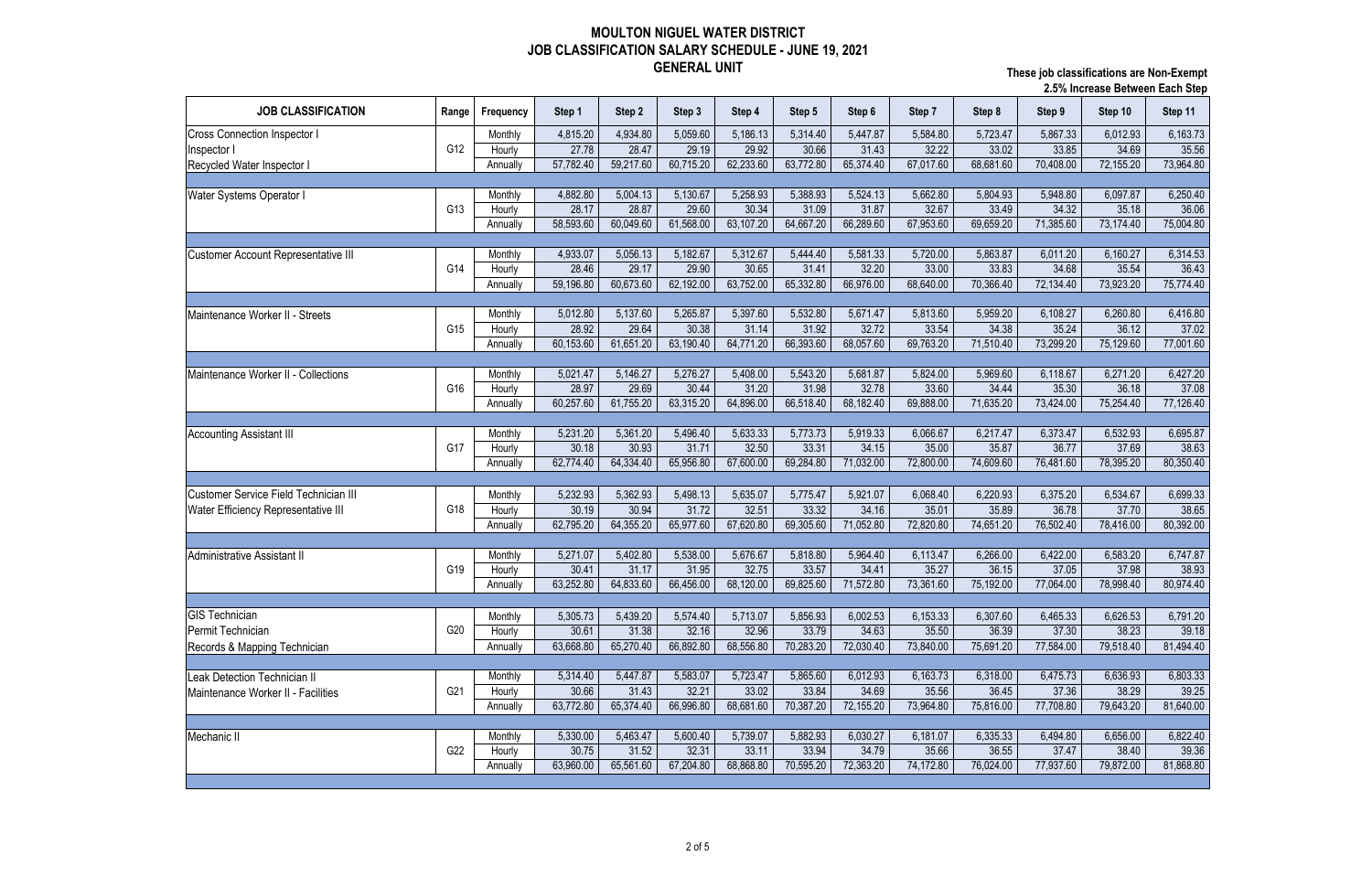|                                              |       |           |           |           |           |           |           |           |           |           |           | <b>2.3% increase between Each Step</b> |           |  |  |  |
|----------------------------------------------|-------|-----------|-----------|-----------|-----------|-----------|-----------|-----------|-----------|-----------|-----------|----------------------------------------|-----------|--|--|--|
| <b>JOB CLASSIFICATION</b>                    | Range | Frequency | Step 1    | Step 2    | Step 3    | Step 4    | Step 5    | Step 6    | Step 7    | Step 8    | Step 9    | Step 10                                | Step 11   |  |  |  |
| <b>Cross Connection Inspector I</b>          |       | Monthly   | 4,815.20  | 4,934.80  | 5,059.60  | 5,186.13  | 5,314.40  | 5,447.87  | 5,584.80  | 5,723.47  | 5,867.33  | 6,012.93                               | 6,163.73  |  |  |  |
| Inspector I                                  | G12   | Hourly    | 27.78     | 28.47     | 29.19     | 29.92     | 30.66     | 31.43     | 32.22     | 33.02     | 33.85     | 34.69                                  | 35.56     |  |  |  |
| Recycled Water Inspector I                   |       | Annually  | 57,782.40 | 59,217.60 | 60,715.20 | 62,233.60 | 63,772.80 | 65,374.40 | 67,017.60 | 68,681.60 | 70,408.00 | 72,155.20                              | 73,964.80 |  |  |  |
|                                              |       |           |           |           |           |           |           |           |           |           |           |                                        |           |  |  |  |
| Water Systems Operator I                     |       | Monthly   | 4,882.80  | 5,004.13  | 5,130.67  | 5,258.93  | 5,388.93  | 5,524.13  | 5,662.80  | 5,804.93  | 5,948.80  | 6,097.87                               | 6,250.40  |  |  |  |
|                                              | G13   | Hourly    | 28.17     | 28.87     | 29.60     | 30.34     | 31.09     | 31.87     | 32.67     | 33.49     | 34.32     | 35.18                                  | 36.06     |  |  |  |
|                                              |       | Annually  | 58,593.60 | 60,049.60 | 61,568.00 | 63,107.20 | 64,667.20 | 66,289.60 | 67,953.60 | 69,659.20 | 71,385.60 | 73,174.40                              | 75,004.80 |  |  |  |
|                                              |       |           |           |           |           |           |           |           |           |           |           |                                        |           |  |  |  |
| <b>Customer Account Representative III</b>   |       | Monthly   | 4,933.07  | 5,056.13  | 5,182.67  | 5,312.67  | 5,444.40  | 5,581.33  | 5,720.00  | 5,863.87  | 6,011.20  | 6,160.27                               | 6,314.53  |  |  |  |
|                                              | G14   | Hourly    | 28.46     | 29.17     | 29.90     | 30.65     | 31.41     | 32.20     | 33.00     | 33.83     | 34.68     | 35.54                                  | 36.43     |  |  |  |
|                                              |       | Annually  | 59,196.80 | 60,673.60 | 62,192.00 | 63,752.00 | 65,332.80 | 66,976.00 | 68,640.00 | 70,366.40 | 72,134.40 | 73,923.20                              | 75,774.40 |  |  |  |
|                                              |       |           |           |           |           |           |           |           |           |           |           |                                        |           |  |  |  |
| Maintenance Worker II - Streets              |       | Monthly   | 5,012.80  | 5,137.60  | 5,265.87  | 5,397.60  | 5,532.80  | 5,671.47  | 5,813.60  | 5,959.20  | 6,108.27  | 6,260.80                               | 6,416.80  |  |  |  |
|                                              | G15   | Hourly    | 28.92     | 29.64     | 30.38     | 31.14     | 31.92     | 32.72     | 33.54     | 34.38     | 35.24     | 36.12                                  | 37.02     |  |  |  |
|                                              |       | Annually  | 60,153.60 | 61,651.20 | 63,190.40 | 64,771.20 | 66,393.60 | 68,057.60 | 69,763.20 | 71,510.40 | 73,299.20 | 75,129.60                              | 77,001.60 |  |  |  |
|                                              |       |           |           |           |           |           |           |           |           |           |           |                                        |           |  |  |  |
| Maintenance Worker II - Collections          |       | Monthly   | 5,021.47  | 5,146.27  | 5,276.27  | 5,408.00  | 5,543.20  | 5,681.87  | 5,824.00  | 5,969.60  | 6,118.67  | 6,271.20                               | 6,427.20  |  |  |  |
|                                              | G16   | Hourly    | 28.97     | 29.69     | 30.44     | 31.20     | 31.98     | 32.78     | 33.60     | 34.44     | 35.30     | 36.18                                  | 37.08     |  |  |  |
|                                              |       | Annually  | 60,257.60 | 61,755.20 | 63,315.20 | 64,896.00 | 66,518.40 | 68,182.40 | 69,888.00 | 71,635.20 | 73,424.00 | 75,254.40                              | 77,126.40 |  |  |  |
|                                              |       |           |           |           |           |           |           |           |           |           |           |                                        |           |  |  |  |
|                                              |       | Monthly   | 5,231.20  | 5,361.20  | 5,496.40  | 5,633.33  | 5,773.73  | 5,919.33  | 6,066.67  | 6,217.47  | 6,373.47  | 6,532.93                               | 6,695.87  |  |  |  |
| <b>Accounting Assistant III</b>              | G17   | Hourly    | 30.18     | 30.93     | 31.71     | 32.50     | 33.31     | 34.15     | 35.00     | 35.87     | 36.77     | 37.69                                  | 38.63     |  |  |  |
|                                              |       | Annually  | 62,774.40 | 64,334.40 | 65,956.80 | 67,600.00 | 69,284.80 | 71,032.00 | 72,800.00 | 74,609.60 | 76,481.60 | 78,395.20                              | 80,350.40 |  |  |  |
|                                              |       |           |           |           |           |           |           |           |           |           |           |                                        |           |  |  |  |
| <b>Customer Service Field Technician III</b> |       |           |           |           |           |           |           |           |           |           |           |                                        |           |  |  |  |
|                                              |       | Monthly   | 5,232.93  | 5,362.93  | 5,498.13  | 5,635.07  | 5,775.47  | 5,921.07  | 6,068.40  | 6,220.93  | 6,375.20  | 6,534.67                               | 6,699.33  |  |  |  |
| <b>Water Efficiency Representative III</b>   | G18   | Hourly    | 30.19     | 30.94     | 31.72     | 32.51     | 33.32     | 34.16     | 35.01     | 35.89     | 36.78     | 37.70                                  | 38.65     |  |  |  |
|                                              |       | Annually  | 62,795.20 | 64,355.20 | 65,977.60 | 67,620.80 | 69,305.60 | 71,052.80 | 72,820.80 | 74,651.20 | 76,502.40 | 78,416.00                              | 80,392.00 |  |  |  |
|                                              |       |           |           |           |           |           |           |           |           |           |           |                                        |           |  |  |  |
| Administrative Assistant II                  |       | Monthly   | 5,271.07  | 5,402.80  | 5,538.00  | 5,676.67  | 5,818.80  | 5,964.40  | 6,113.47  | 6,266.00  | 6,422.00  | 6,583.20                               | 6,747.87  |  |  |  |
|                                              | G19   | Hourly    | 30.41     | 31.17     | 31.95     | 32.75     | 33.57     | 34.41     | 35.27     | 36.15     | 37.05     | 37.98                                  | 38.93     |  |  |  |
|                                              |       | Annually  | 63,252.80 | 64,833.60 | 66,456.00 | 68,120.00 | 69,825.60 | 71,572.80 | 73,361.60 | 75,192.00 | 77,064.00 | 78,998.40                              | 80,974.40 |  |  |  |
|                                              |       |           |           |           |           |           |           |           |           |           |           |                                        |           |  |  |  |
| <b>GIS Technician</b>                        |       | Monthly   | 5,305.73  | 5,439.20  | 5,574.40  | 5,713.07  | 5,856.93  | 6,002.53  | 6,153.33  | 6,307.60  | 6,465.33  | 6,626.53                               | 6,791.20  |  |  |  |
| Permit Technician                            | G20   | Hourly    | 30.61     | 31.38     | 32.16     | 32.96     | 33.79     | 34.63     | 35.50     | 36.39     | 37.30     | 38.23                                  | 39.18     |  |  |  |
| Records & Mapping Technician                 |       | Annually  | 63,668.80 | 65,270.40 | 66,892.80 | 68,556.80 | 70,283.20 | 72,030.40 | 73,840.00 | 75,691.20 | 77,584.00 | 79,518.40                              | 81,494.40 |  |  |  |
|                                              |       |           |           |           |           |           |           |           |           |           |           |                                        |           |  |  |  |
| Leak Detection Technician II                 |       | Monthly   | 5,314.40  | 5,447.87  | 5,583.07  | 5,723.47  | 5,865.60  | 6,012.93  | 6,163.73  | 6,318.00  | 6,475.73  | 6,636.93                               | 6,803.33  |  |  |  |
| Maintenance Worker II - Facilities           | G21   | Hourly    | 30.66     | 31.43     | 32.21     | 33.02     | 33.84     | 34.69     | 35.56     | 36.45     | 37.36     | 38.29                                  | 39.25     |  |  |  |
|                                              |       | Annually  | 63,772.80 | 65,374.40 | 66,996.80 | 68,681.60 | 70,387.20 | 72,155.20 | 73,964.80 | 75,816.00 | 77,708.80 | 79,643.20                              | 81,640.00 |  |  |  |
|                                              |       |           |           |           |           |           |           |           |           |           |           |                                        |           |  |  |  |
| Mechanic II                                  |       | Monthly   | 5,330.00  | 5,463.47  | 5,600.40  | 5,739.07  | 5,882.93  | 6,030.27  | 6,181.07  | 6,335.33  | 6,494.80  | 6,656.00                               | 6,822.40  |  |  |  |
|                                              | G22   | Hourly    | 30.75     | 31.52     | 32.31     | 33.11     | 33.94     | 34.79     | 35.66     | 36.55     | 37.47     | 38.40                                  | 39.36     |  |  |  |
|                                              |       | Annually  | 63,960.00 | 65,561.60 | 67,204.80 | 68,868.80 | 70,595.20 | 72,363.20 | 74,172.80 | 76,024.00 | 77,937.60 | 79,872.00                              | 81,868.80 |  |  |  |
|                                              |       |           |           |           |           |           |           |           |           |           |           |                                        |           |  |  |  |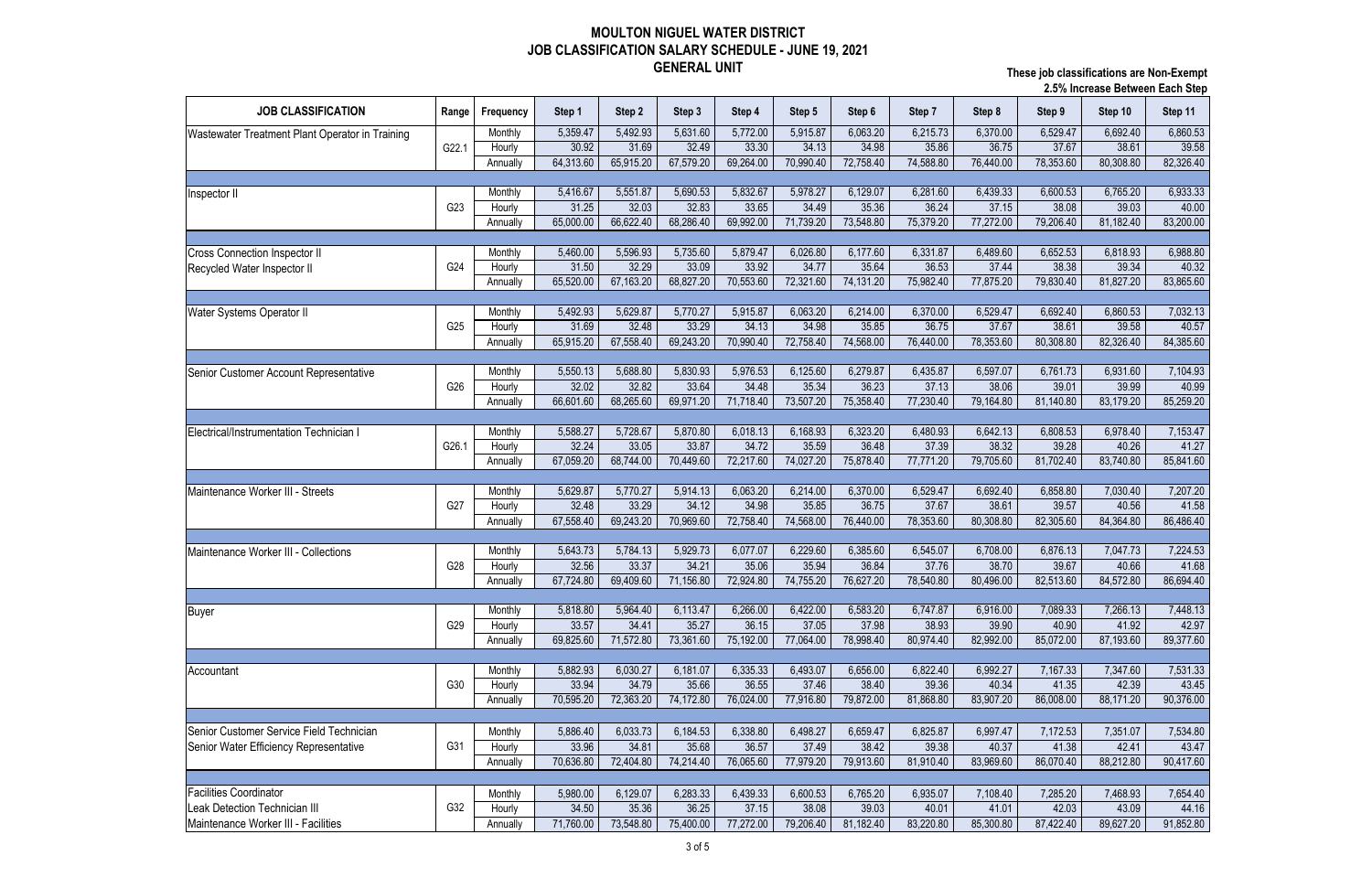| <b>JOB CLASSIFICATION</b><br>Frequency<br>Step 2<br>Step 3<br>Step 4<br>Range<br>Step 1<br>Step 5<br>Step 6<br>Step 7<br>Step 8<br>Step 9<br>Step 10<br>Step 11<br>5,772.00<br>5,915.87<br>6,063.20<br>6,860.53<br>5,359.47<br>5,492.93<br>5,631.60<br>6,215.73<br>6,370.00<br>6,529.47<br>6,692.40<br>Monthly<br>Wastewater Treatment Plant Operator in Training<br>G22.1<br>32.49<br>33.30<br>34.13<br>36.75<br>37.67<br>30.92<br>31.69<br>34.98<br>35.86<br>38.61<br>39.58<br>Hourly<br>67,579.20<br>69,264.00<br>72,758.40<br>76,440.00<br>78,353.60<br>64,313.60<br>65,915.20<br>70,990.40<br>74,588.80<br>80,308.80<br>82,326.40<br>Annually<br>5,690.53<br>5,832.67<br>5,978.27<br>6,281.60<br>6,933.33<br>5,416.67<br>5,551.87<br>6,129.07<br>6,439.33<br>6,600.53<br>6,765.20<br>Monthly<br>Inspector II<br>33.65<br>G <sub>23</sub><br>31.25<br>32.03<br>32.83<br>34.49<br>35.36<br>36.24<br>37.15<br>38.08<br>39.03<br>Hourly<br>40.00<br>65,000.00<br>66,622.40<br>68,286.40<br>69,992.00<br>71,739.20<br>73,548.80<br>75,379.20<br>77,272.00<br>79,206.40<br>81,182.40<br>83,200.00<br>Annually<br>5,596.93<br>5,735.60<br>5,879.47<br>6,026.80<br>6,331.87<br>6,489.60<br>6,988.80<br>5,460.00<br>6,177.60<br>6,652.53<br>6,818.93<br>Monthly<br><b>Cross Connection Inspector II</b><br>31.50<br>32.29<br>33.09<br>33.92<br>34.77<br>35.64<br>36.53<br>37.44<br>38.38<br>39.34<br>40.32<br>G24<br>Hourly<br>67,163.20<br>68,827.20<br>70,553.60<br>72,321.60<br>65,520.00<br>74,131.20<br>75,982.40<br>77,875.20<br>79,830.40<br>81,827.20<br>83,865.60<br>Annually<br>5,492.93<br>5,629.87<br>5,770.27<br>5,915.87<br>6,063.20<br>6,214.00<br>6,370.00<br>6,529.47<br>6,692.40<br>6,860.53<br>7,032.13<br>Monthly<br>Water Systems Operator II<br>31.69<br>32.48<br>33.29<br>34.13<br>34.98<br>35.85<br>36.75<br>37.67<br>39.58<br>40.57<br>38.61<br>G25<br>Hourly<br>69,243.20<br>70,990.40<br>65,915.20<br>67,558.40<br>72,758.40<br>74,568.00<br>78,353.60<br>80,308.80<br>82,326.40<br>84,385.60<br>76,440.00<br>Annually<br>5,550.13<br>5,688.80<br>5,830.93<br>5,976.53<br>6,125.60<br>6,279.87<br>6,435.87<br>6,597.07<br>6,761.73<br>6,931.60<br>7,104.93<br>Monthly<br>Senior Customer Account Representative<br>32.02<br>33.64<br>34.48<br>35.34<br>36.23<br>38.06<br>32.82<br>37.13<br>39.01<br>39.99<br>40.99<br>G26<br>Hourly<br>66,601.60<br>69,971.20<br>71,718.40<br>73,507.20<br>75,358.40<br>68,265.60<br>77,230.40<br>79,164.80<br>81,140.80<br>83,179.20<br>85,259.20<br>Annually<br>7,153.47<br>5,588.27<br>5,728.67<br>6,018.13<br>6,168.93<br>6,323.20<br>6,642.13<br>6,808.53<br>Monthly<br>5,870.80<br>6,480.93<br>6,978.40<br>Electrical/Instrumentation Technician I<br>32.24<br>33.87<br>34.72<br>35.59<br>36.48<br>37.39<br>38.32<br>41.27<br>G26.1<br>33.05<br>39.28<br>40.26<br>Hourly<br>70,449.60<br>72,217.60<br>74,027.20<br>67,059.20<br>68,744.00<br>75,878.40<br>77,771.20<br>79,705.60<br>81,702.40<br>83,740.80<br>85,841.60<br>Annually<br>6,063.20<br>7,207.20<br>5,629.87<br>5,770.27<br>5,914.13<br>6,214.00<br>6,370.00<br>6,529.47<br>6,692.40<br>6,858.80<br>7,030.40<br>Maintenance Worker III - Streets<br>Monthly<br>34.12<br>38.61<br>G27<br>33.29<br>34.98<br>35.85<br>36.75<br>37.67<br>39.57<br>40.56<br>41.58<br>32.48<br>Hourly<br>72,758.40<br>74,568.00<br>67,558.40<br>69,243.20<br>70,969.60<br>76,440.00<br>78,353.60<br>80,308.80<br>82,305.60<br>84,364.80<br>86,486.40<br>Annually<br>5,784.13<br>5,929.73<br>6,077.07<br>6,229.60<br>6,385.60<br>6,545.07<br>6,708.00<br>6,876.13<br>7,224.53<br>5,643.73<br>7,047.73<br>Monthly<br><b>Maintenance Worker III - Collections</b><br>34.21<br>38.70<br>32.56<br>33.37<br>35.06<br>35.94<br>36.84<br>37.76<br>39.67<br>40.66<br>41.68<br>G28<br>Hourly<br>72,924.80<br>76,627.20<br>80,496.00<br>86,694.40<br>67,724.80<br>69,409.60<br>71,156.80<br>74,755.20<br>78,540.80<br>82,513.60<br>84,572.80<br>Annually<br>6,266.00<br>5,818.80<br>5,964.40<br>6,113.47<br>6,422.00<br>6,583.20<br>6,747.87<br>6,916.00<br>7,089.33<br>7,266.13<br>7,448.13<br>Monthly<br><b>Buyer</b><br>35.27<br>36.15<br>37.05<br>39.90<br>G29<br>33.57<br>34.41<br>37.98<br>38.93<br>40.90<br>41.92<br>42.97<br>Hourly<br>69,825.60<br>71,572.80<br>75,192.00<br>77,064.00<br>78,998.40<br>82,992.00<br>85,072.00<br>89,377.60<br>73,361.60<br>80,974.40<br>87,193.60<br>Annually<br>5,882.93<br>6,030.27<br>6,181.07<br>6,335.33<br>6,493.07<br>6,656.00<br>6,822.40<br>6,992.27<br>7,167.33<br>7,347.60<br>7,531.33<br>Monthly<br>37.46<br>34.79<br>35.66<br>36.55<br>38.40<br>40.34<br>41.35<br>42.39<br>G30<br>33.94<br>39.36<br>43.45<br>Hourly<br>79,872.00<br>83,907.20<br>90,376.00<br>70,595.20<br>72,363.20<br>74,172.80<br>76,024.00<br>77,916.80<br>81,868.80<br>86,008.00<br>88,171.20<br>Annually<br>6,033.73<br>6,184.53<br>6,338.80<br>6,498.27<br>6,659.47<br>6,825.87<br>6,997.47<br>5,886.40<br>7,172.53<br>7,351.07<br>7,534.80<br>Monthly<br>G31<br>36.57<br>37.49<br>33.96<br>34.81<br>35.68<br>38.42<br>39.38<br>40.37<br>41.38<br>43.47<br>Hourly<br>42.41<br>76,065.60<br>83,969.60<br>70,636.80<br>72,404.80<br>74,214.40<br>77,979.20<br>79,913.60<br>86,070.40<br>88,212.80<br>90,417.60<br>Annually<br>81,910.40<br><b>Facilities Coordinator</b><br>5,980.00<br>6,129.07<br>6,283.33<br>6,439.33<br>6,600.53<br>6,765.20<br>6,935.07<br>7,108.40<br>Monthly<br>7,285.20<br>7,468.93<br>7,654.40<br>G32<br>36.25<br>37.15<br>38.08<br>Leak Detection Technician III<br>34.50<br>35.36<br>39.03<br>40.01<br>41.01<br>42.03<br>43.09<br>44.16<br>Hourly<br>75,400.00<br>77,272.00<br>79,206.40<br>81,182.40<br>91,852.80<br>71,760.00<br>73,548.80<br>83,220.80<br>85,300.80<br>87,422.40<br>89,627.20<br>Annually |                                          |  |  |  |  |  | 2.5% increase Between Each Step |  |
|-----------------------------------------------------------------------------------------------------------------------------------------------------------------------------------------------------------------------------------------------------------------------------------------------------------------------------------------------------------------------------------------------------------------------------------------------------------------------------------------------------------------------------------------------------------------------------------------------------------------------------------------------------------------------------------------------------------------------------------------------------------------------------------------------------------------------------------------------------------------------------------------------------------------------------------------------------------------------------------------------------------------------------------------------------------------------------------------------------------------------------------------------------------------------------------------------------------------------------------------------------------------------------------------------------------------------------------------------------------------------------------------------------------------------------------------------------------------------------------------------------------------------------------------------------------------------------------------------------------------------------------------------------------------------------------------------------------------------------------------------------------------------------------------------------------------------------------------------------------------------------------------------------------------------------------------------------------------------------------------------------------------------------------------------------------------------------------------------------------------------------------------------------------------------------------------------------------------------------------------------------------------------------------------------------------------------------------------------------------------------------------------------------------------------------------------------------------------------------------------------------------------------------------------------------------------------------------------------------------------------------------------------------------------------------------------------------------------------------------------------------------------------------------------------------------------------------------------------------------------------------------------------------------------------------------------------------------------------------------------------------------------------------------------------------------------------------------------------------------------------------------------------------------------------------------------------------------------------------------------------------------------------------------------------------------------------------------------------------------------------------------------------------------------------------------------------------------------------------------------------------------------------------------------------------------------------------------------------------------------------------------------------------------------------------------------------------------------------------------------------------------------------------------------------------------------------------------------------------------------------------------------------------------------------------------------------------------------------------------------------------------------------------------------------------------------------------------------------------------------------------------------------------------------------------------------------------------------------------------------------------------------------------------------------------------------------------------------------------------------------------------------------------------------------------------------------------------------------------------------------------------------------------------------------------------------------------------------------------------------------------------------------------------------------------------------------------------------------------------------------------------------------------------------------------------------------------------------------------------------------------------------------------------------------------------------------------------------------------------------------------------------------------------------------------------------------------------------------------------------------------------------------------------------------------------------------------------------------------------------------------------------------------------------------------------------------------------------------------------------------------------------------------------------------------------------------------------------------------------------------------------------------------------------------------------------------------------------------------------------------------------------------------------------------------------------------------------------------------------------------------------|------------------------------------------|--|--|--|--|--|---------------------------------|--|
|                                                                                                                                                                                                                                                                                                                                                                                                                                                                                                                                                                                                                                                                                                                                                                                                                                                                                                                                                                                                                                                                                                                                                                                                                                                                                                                                                                                                                                                                                                                                                                                                                                                                                                                                                                                                                                                                                                                                                                                                                                                                                                                                                                                                                                                                                                                                                                                                                                                                                                                                                                                                                                                                                                                                                                                                                                                                                                                                                                                                                                                                                                                                                                                                                                                                                                                                                                                                                                                                                                                                                                                                                                                                                                                                                                                                                                                                                                                                                                                                                                                                                                                                                                                                                                                                                                                                                                                                                                                                                                                                                                                                                                                                                                                                                                                                                                                                                                                                                                                                                                                                                                                                                                                                                                                                                                                                                                                                                                                                                                                                                                                                                                                                                                                                                           |                                          |  |  |  |  |  |                                 |  |
|                                                                                                                                                                                                                                                                                                                                                                                                                                                                                                                                                                                                                                                                                                                                                                                                                                                                                                                                                                                                                                                                                                                                                                                                                                                                                                                                                                                                                                                                                                                                                                                                                                                                                                                                                                                                                                                                                                                                                                                                                                                                                                                                                                                                                                                                                                                                                                                                                                                                                                                                                                                                                                                                                                                                                                                                                                                                                                                                                                                                                                                                                                                                                                                                                                                                                                                                                                                                                                                                                                                                                                                                                                                                                                                                                                                                                                                                                                                                                                                                                                                                                                                                                                                                                                                                                                                                                                                                                                                                                                                                                                                                                                                                                                                                                                                                                                                                                                                                                                                                                                                                                                                                                                                                                                                                                                                                                                                                                                                                                                                                                                                                                                                                                                                                                           |                                          |  |  |  |  |  |                                 |  |
|                                                                                                                                                                                                                                                                                                                                                                                                                                                                                                                                                                                                                                                                                                                                                                                                                                                                                                                                                                                                                                                                                                                                                                                                                                                                                                                                                                                                                                                                                                                                                                                                                                                                                                                                                                                                                                                                                                                                                                                                                                                                                                                                                                                                                                                                                                                                                                                                                                                                                                                                                                                                                                                                                                                                                                                                                                                                                                                                                                                                                                                                                                                                                                                                                                                                                                                                                                                                                                                                                                                                                                                                                                                                                                                                                                                                                                                                                                                                                                                                                                                                                                                                                                                                                                                                                                                                                                                                                                                                                                                                                                                                                                                                                                                                                                                                                                                                                                                                                                                                                                                                                                                                                                                                                                                                                                                                                                                                                                                                                                                                                                                                                                                                                                                                                           |                                          |  |  |  |  |  |                                 |  |
|                                                                                                                                                                                                                                                                                                                                                                                                                                                                                                                                                                                                                                                                                                                                                                                                                                                                                                                                                                                                                                                                                                                                                                                                                                                                                                                                                                                                                                                                                                                                                                                                                                                                                                                                                                                                                                                                                                                                                                                                                                                                                                                                                                                                                                                                                                                                                                                                                                                                                                                                                                                                                                                                                                                                                                                                                                                                                                                                                                                                                                                                                                                                                                                                                                                                                                                                                                                                                                                                                                                                                                                                                                                                                                                                                                                                                                                                                                                                                                                                                                                                                                                                                                                                                                                                                                                                                                                                                                                                                                                                                                                                                                                                                                                                                                                                                                                                                                                                                                                                                                                                                                                                                                                                                                                                                                                                                                                                                                                                                                                                                                                                                                                                                                                                                           |                                          |  |  |  |  |  |                                 |  |
|                                                                                                                                                                                                                                                                                                                                                                                                                                                                                                                                                                                                                                                                                                                                                                                                                                                                                                                                                                                                                                                                                                                                                                                                                                                                                                                                                                                                                                                                                                                                                                                                                                                                                                                                                                                                                                                                                                                                                                                                                                                                                                                                                                                                                                                                                                                                                                                                                                                                                                                                                                                                                                                                                                                                                                                                                                                                                                                                                                                                                                                                                                                                                                                                                                                                                                                                                                                                                                                                                                                                                                                                                                                                                                                                                                                                                                                                                                                                                                                                                                                                                                                                                                                                                                                                                                                                                                                                                                                                                                                                                                                                                                                                                                                                                                                                                                                                                                                                                                                                                                                                                                                                                                                                                                                                                                                                                                                                                                                                                                                                                                                                                                                                                                                                                           |                                          |  |  |  |  |  |                                 |  |
|                                                                                                                                                                                                                                                                                                                                                                                                                                                                                                                                                                                                                                                                                                                                                                                                                                                                                                                                                                                                                                                                                                                                                                                                                                                                                                                                                                                                                                                                                                                                                                                                                                                                                                                                                                                                                                                                                                                                                                                                                                                                                                                                                                                                                                                                                                                                                                                                                                                                                                                                                                                                                                                                                                                                                                                                                                                                                                                                                                                                                                                                                                                                                                                                                                                                                                                                                                                                                                                                                                                                                                                                                                                                                                                                                                                                                                                                                                                                                                                                                                                                                                                                                                                                                                                                                                                                                                                                                                                                                                                                                                                                                                                                                                                                                                                                                                                                                                                                                                                                                                                                                                                                                                                                                                                                                                                                                                                                                                                                                                                                                                                                                                                                                                                                                           |                                          |  |  |  |  |  |                                 |  |
|                                                                                                                                                                                                                                                                                                                                                                                                                                                                                                                                                                                                                                                                                                                                                                                                                                                                                                                                                                                                                                                                                                                                                                                                                                                                                                                                                                                                                                                                                                                                                                                                                                                                                                                                                                                                                                                                                                                                                                                                                                                                                                                                                                                                                                                                                                                                                                                                                                                                                                                                                                                                                                                                                                                                                                                                                                                                                                                                                                                                                                                                                                                                                                                                                                                                                                                                                                                                                                                                                                                                                                                                                                                                                                                                                                                                                                                                                                                                                                                                                                                                                                                                                                                                                                                                                                                                                                                                                                                                                                                                                                                                                                                                                                                                                                                                                                                                                                                                                                                                                                                                                                                                                                                                                                                                                                                                                                                                                                                                                                                                                                                                                                                                                                                                                           |                                          |  |  |  |  |  |                                 |  |
|                                                                                                                                                                                                                                                                                                                                                                                                                                                                                                                                                                                                                                                                                                                                                                                                                                                                                                                                                                                                                                                                                                                                                                                                                                                                                                                                                                                                                                                                                                                                                                                                                                                                                                                                                                                                                                                                                                                                                                                                                                                                                                                                                                                                                                                                                                                                                                                                                                                                                                                                                                                                                                                                                                                                                                                                                                                                                                                                                                                                                                                                                                                                                                                                                                                                                                                                                                                                                                                                                                                                                                                                                                                                                                                                                                                                                                                                                                                                                                                                                                                                                                                                                                                                                                                                                                                                                                                                                                                                                                                                                                                                                                                                                                                                                                                                                                                                                                                                                                                                                                                                                                                                                                                                                                                                                                                                                                                                                                                                                                                                                                                                                                                                                                                                                           |                                          |  |  |  |  |  |                                 |  |
|                                                                                                                                                                                                                                                                                                                                                                                                                                                                                                                                                                                                                                                                                                                                                                                                                                                                                                                                                                                                                                                                                                                                                                                                                                                                                                                                                                                                                                                                                                                                                                                                                                                                                                                                                                                                                                                                                                                                                                                                                                                                                                                                                                                                                                                                                                                                                                                                                                                                                                                                                                                                                                                                                                                                                                                                                                                                                                                                                                                                                                                                                                                                                                                                                                                                                                                                                                                                                                                                                                                                                                                                                                                                                                                                                                                                                                                                                                                                                                                                                                                                                                                                                                                                                                                                                                                                                                                                                                                                                                                                                                                                                                                                                                                                                                                                                                                                                                                                                                                                                                                                                                                                                                                                                                                                                                                                                                                                                                                                                                                                                                                                                                                                                                                                                           |                                          |  |  |  |  |  |                                 |  |
|                                                                                                                                                                                                                                                                                                                                                                                                                                                                                                                                                                                                                                                                                                                                                                                                                                                                                                                                                                                                                                                                                                                                                                                                                                                                                                                                                                                                                                                                                                                                                                                                                                                                                                                                                                                                                                                                                                                                                                                                                                                                                                                                                                                                                                                                                                                                                                                                                                                                                                                                                                                                                                                                                                                                                                                                                                                                                                                                                                                                                                                                                                                                                                                                                                                                                                                                                                                                                                                                                                                                                                                                                                                                                                                                                                                                                                                                                                                                                                                                                                                                                                                                                                                                                                                                                                                                                                                                                                                                                                                                                                                                                                                                                                                                                                                                                                                                                                                                                                                                                                                                                                                                                                                                                                                                                                                                                                                                                                                                                                                                                                                                                                                                                                                                                           |                                          |  |  |  |  |  |                                 |  |
|                                                                                                                                                                                                                                                                                                                                                                                                                                                                                                                                                                                                                                                                                                                                                                                                                                                                                                                                                                                                                                                                                                                                                                                                                                                                                                                                                                                                                                                                                                                                                                                                                                                                                                                                                                                                                                                                                                                                                                                                                                                                                                                                                                                                                                                                                                                                                                                                                                                                                                                                                                                                                                                                                                                                                                                                                                                                                                                                                                                                                                                                                                                                                                                                                                                                                                                                                                                                                                                                                                                                                                                                                                                                                                                                                                                                                                                                                                                                                                                                                                                                                                                                                                                                                                                                                                                                                                                                                                                                                                                                                                                                                                                                                                                                                                                                                                                                                                                                                                                                                                                                                                                                                                                                                                                                                                                                                                                                                                                                                                                                                                                                                                                                                                                                                           | Recycled Water Inspector II              |  |  |  |  |  |                                 |  |
|                                                                                                                                                                                                                                                                                                                                                                                                                                                                                                                                                                                                                                                                                                                                                                                                                                                                                                                                                                                                                                                                                                                                                                                                                                                                                                                                                                                                                                                                                                                                                                                                                                                                                                                                                                                                                                                                                                                                                                                                                                                                                                                                                                                                                                                                                                                                                                                                                                                                                                                                                                                                                                                                                                                                                                                                                                                                                                                                                                                                                                                                                                                                                                                                                                                                                                                                                                                                                                                                                                                                                                                                                                                                                                                                                                                                                                                                                                                                                                                                                                                                                                                                                                                                                                                                                                                                                                                                                                                                                                                                                                                                                                                                                                                                                                                                                                                                                                                                                                                                                                                                                                                                                                                                                                                                                                                                                                                                                                                                                                                                                                                                                                                                                                                                                           |                                          |  |  |  |  |  |                                 |  |
|                                                                                                                                                                                                                                                                                                                                                                                                                                                                                                                                                                                                                                                                                                                                                                                                                                                                                                                                                                                                                                                                                                                                                                                                                                                                                                                                                                                                                                                                                                                                                                                                                                                                                                                                                                                                                                                                                                                                                                                                                                                                                                                                                                                                                                                                                                                                                                                                                                                                                                                                                                                                                                                                                                                                                                                                                                                                                                                                                                                                                                                                                                                                                                                                                                                                                                                                                                                                                                                                                                                                                                                                                                                                                                                                                                                                                                                                                                                                                                                                                                                                                                                                                                                                                                                                                                                                                                                                                                                                                                                                                                                                                                                                                                                                                                                                                                                                                                                                                                                                                                                                                                                                                                                                                                                                                                                                                                                                                                                                                                                                                                                                                                                                                                                                                           |                                          |  |  |  |  |  |                                 |  |
|                                                                                                                                                                                                                                                                                                                                                                                                                                                                                                                                                                                                                                                                                                                                                                                                                                                                                                                                                                                                                                                                                                                                                                                                                                                                                                                                                                                                                                                                                                                                                                                                                                                                                                                                                                                                                                                                                                                                                                                                                                                                                                                                                                                                                                                                                                                                                                                                                                                                                                                                                                                                                                                                                                                                                                                                                                                                                                                                                                                                                                                                                                                                                                                                                                                                                                                                                                                                                                                                                                                                                                                                                                                                                                                                                                                                                                                                                                                                                                                                                                                                                                                                                                                                                                                                                                                                                                                                                                                                                                                                                                                                                                                                                                                                                                                                                                                                                                                                                                                                                                                                                                                                                                                                                                                                                                                                                                                                                                                                                                                                                                                                                                                                                                                                                           |                                          |  |  |  |  |  |                                 |  |
|                                                                                                                                                                                                                                                                                                                                                                                                                                                                                                                                                                                                                                                                                                                                                                                                                                                                                                                                                                                                                                                                                                                                                                                                                                                                                                                                                                                                                                                                                                                                                                                                                                                                                                                                                                                                                                                                                                                                                                                                                                                                                                                                                                                                                                                                                                                                                                                                                                                                                                                                                                                                                                                                                                                                                                                                                                                                                                                                                                                                                                                                                                                                                                                                                                                                                                                                                                                                                                                                                                                                                                                                                                                                                                                                                                                                                                                                                                                                                                                                                                                                                                                                                                                                                                                                                                                                                                                                                                                                                                                                                                                                                                                                                                                                                                                                                                                                                                                                                                                                                                                                                                                                                                                                                                                                                                                                                                                                                                                                                                                                                                                                                                                                                                                                                           |                                          |  |  |  |  |  |                                 |  |
|                                                                                                                                                                                                                                                                                                                                                                                                                                                                                                                                                                                                                                                                                                                                                                                                                                                                                                                                                                                                                                                                                                                                                                                                                                                                                                                                                                                                                                                                                                                                                                                                                                                                                                                                                                                                                                                                                                                                                                                                                                                                                                                                                                                                                                                                                                                                                                                                                                                                                                                                                                                                                                                                                                                                                                                                                                                                                                                                                                                                                                                                                                                                                                                                                                                                                                                                                                                                                                                                                                                                                                                                                                                                                                                                                                                                                                                                                                                                                                                                                                                                                                                                                                                                                                                                                                                                                                                                                                                                                                                                                                                                                                                                                                                                                                                                                                                                                                                                                                                                                                                                                                                                                                                                                                                                                                                                                                                                                                                                                                                                                                                                                                                                                                                                                           |                                          |  |  |  |  |  |                                 |  |
|                                                                                                                                                                                                                                                                                                                                                                                                                                                                                                                                                                                                                                                                                                                                                                                                                                                                                                                                                                                                                                                                                                                                                                                                                                                                                                                                                                                                                                                                                                                                                                                                                                                                                                                                                                                                                                                                                                                                                                                                                                                                                                                                                                                                                                                                                                                                                                                                                                                                                                                                                                                                                                                                                                                                                                                                                                                                                                                                                                                                                                                                                                                                                                                                                                                                                                                                                                                                                                                                                                                                                                                                                                                                                                                                                                                                                                                                                                                                                                                                                                                                                                                                                                                                                                                                                                                                                                                                                                                                                                                                                                                                                                                                                                                                                                                                                                                                                                                                                                                                                                                                                                                                                                                                                                                                                                                                                                                                                                                                                                                                                                                                                                                                                                                                                           |                                          |  |  |  |  |  |                                 |  |
|                                                                                                                                                                                                                                                                                                                                                                                                                                                                                                                                                                                                                                                                                                                                                                                                                                                                                                                                                                                                                                                                                                                                                                                                                                                                                                                                                                                                                                                                                                                                                                                                                                                                                                                                                                                                                                                                                                                                                                                                                                                                                                                                                                                                                                                                                                                                                                                                                                                                                                                                                                                                                                                                                                                                                                                                                                                                                                                                                                                                                                                                                                                                                                                                                                                                                                                                                                                                                                                                                                                                                                                                                                                                                                                                                                                                                                                                                                                                                                                                                                                                                                                                                                                                                                                                                                                                                                                                                                                                                                                                                                                                                                                                                                                                                                                                                                                                                                                                                                                                                                                                                                                                                                                                                                                                                                                                                                                                                                                                                                                                                                                                                                                                                                                                                           |                                          |  |  |  |  |  |                                 |  |
|                                                                                                                                                                                                                                                                                                                                                                                                                                                                                                                                                                                                                                                                                                                                                                                                                                                                                                                                                                                                                                                                                                                                                                                                                                                                                                                                                                                                                                                                                                                                                                                                                                                                                                                                                                                                                                                                                                                                                                                                                                                                                                                                                                                                                                                                                                                                                                                                                                                                                                                                                                                                                                                                                                                                                                                                                                                                                                                                                                                                                                                                                                                                                                                                                                                                                                                                                                                                                                                                                                                                                                                                                                                                                                                                                                                                                                                                                                                                                                                                                                                                                                                                                                                                                                                                                                                                                                                                                                                                                                                                                                                                                                                                                                                                                                                                                                                                                                                                                                                                                                                                                                                                                                                                                                                                                                                                                                                                                                                                                                                                                                                                                                                                                                                                                           |                                          |  |  |  |  |  |                                 |  |
|                                                                                                                                                                                                                                                                                                                                                                                                                                                                                                                                                                                                                                                                                                                                                                                                                                                                                                                                                                                                                                                                                                                                                                                                                                                                                                                                                                                                                                                                                                                                                                                                                                                                                                                                                                                                                                                                                                                                                                                                                                                                                                                                                                                                                                                                                                                                                                                                                                                                                                                                                                                                                                                                                                                                                                                                                                                                                                                                                                                                                                                                                                                                                                                                                                                                                                                                                                                                                                                                                                                                                                                                                                                                                                                                                                                                                                                                                                                                                                                                                                                                                                                                                                                                                                                                                                                                                                                                                                                                                                                                                                                                                                                                                                                                                                                                                                                                                                                                                                                                                                                                                                                                                                                                                                                                                                                                                                                                                                                                                                                                                                                                                                                                                                                                                           |                                          |  |  |  |  |  |                                 |  |
|                                                                                                                                                                                                                                                                                                                                                                                                                                                                                                                                                                                                                                                                                                                                                                                                                                                                                                                                                                                                                                                                                                                                                                                                                                                                                                                                                                                                                                                                                                                                                                                                                                                                                                                                                                                                                                                                                                                                                                                                                                                                                                                                                                                                                                                                                                                                                                                                                                                                                                                                                                                                                                                                                                                                                                                                                                                                                                                                                                                                                                                                                                                                                                                                                                                                                                                                                                                                                                                                                                                                                                                                                                                                                                                                                                                                                                                                                                                                                                                                                                                                                                                                                                                                                                                                                                                                                                                                                                                                                                                                                                                                                                                                                                                                                                                                                                                                                                                                                                                                                                                                                                                                                                                                                                                                                                                                                                                                                                                                                                                                                                                                                                                                                                                                                           |                                          |  |  |  |  |  |                                 |  |
|                                                                                                                                                                                                                                                                                                                                                                                                                                                                                                                                                                                                                                                                                                                                                                                                                                                                                                                                                                                                                                                                                                                                                                                                                                                                                                                                                                                                                                                                                                                                                                                                                                                                                                                                                                                                                                                                                                                                                                                                                                                                                                                                                                                                                                                                                                                                                                                                                                                                                                                                                                                                                                                                                                                                                                                                                                                                                                                                                                                                                                                                                                                                                                                                                                                                                                                                                                                                                                                                                                                                                                                                                                                                                                                                                                                                                                                                                                                                                                                                                                                                                                                                                                                                                                                                                                                                                                                                                                                                                                                                                                                                                                                                                                                                                                                                                                                                                                                                                                                                                                                                                                                                                                                                                                                                                                                                                                                                                                                                                                                                                                                                                                                                                                                                                           |                                          |  |  |  |  |  |                                 |  |
|                                                                                                                                                                                                                                                                                                                                                                                                                                                                                                                                                                                                                                                                                                                                                                                                                                                                                                                                                                                                                                                                                                                                                                                                                                                                                                                                                                                                                                                                                                                                                                                                                                                                                                                                                                                                                                                                                                                                                                                                                                                                                                                                                                                                                                                                                                                                                                                                                                                                                                                                                                                                                                                                                                                                                                                                                                                                                                                                                                                                                                                                                                                                                                                                                                                                                                                                                                                                                                                                                                                                                                                                                                                                                                                                                                                                                                                                                                                                                                                                                                                                                                                                                                                                                                                                                                                                                                                                                                                                                                                                                                                                                                                                                                                                                                                                                                                                                                                                                                                                                                                                                                                                                                                                                                                                                                                                                                                                                                                                                                                                                                                                                                                                                                                                                           |                                          |  |  |  |  |  |                                 |  |
|                                                                                                                                                                                                                                                                                                                                                                                                                                                                                                                                                                                                                                                                                                                                                                                                                                                                                                                                                                                                                                                                                                                                                                                                                                                                                                                                                                                                                                                                                                                                                                                                                                                                                                                                                                                                                                                                                                                                                                                                                                                                                                                                                                                                                                                                                                                                                                                                                                                                                                                                                                                                                                                                                                                                                                                                                                                                                                                                                                                                                                                                                                                                                                                                                                                                                                                                                                                                                                                                                                                                                                                                                                                                                                                                                                                                                                                                                                                                                                                                                                                                                                                                                                                                                                                                                                                                                                                                                                                                                                                                                                                                                                                                                                                                                                                                                                                                                                                                                                                                                                                                                                                                                                                                                                                                                                                                                                                                                                                                                                                                                                                                                                                                                                                                                           |                                          |  |  |  |  |  |                                 |  |
|                                                                                                                                                                                                                                                                                                                                                                                                                                                                                                                                                                                                                                                                                                                                                                                                                                                                                                                                                                                                                                                                                                                                                                                                                                                                                                                                                                                                                                                                                                                                                                                                                                                                                                                                                                                                                                                                                                                                                                                                                                                                                                                                                                                                                                                                                                                                                                                                                                                                                                                                                                                                                                                                                                                                                                                                                                                                                                                                                                                                                                                                                                                                                                                                                                                                                                                                                                                                                                                                                                                                                                                                                                                                                                                                                                                                                                                                                                                                                                                                                                                                                                                                                                                                                                                                                                                                                                                                                                                                                                                                                                                                                                                                                                                                                                                                                                                                                                                                                                                                                                                                                                                                                                                                                                                                                                                                                                                                                                                                                                                                                                                                                                                                                                                                                           |                                          |  |  |  |  |  |                                 |  |
|                                                                                                                                                                                                                                                                                                                                                                                                                                                                                                                                                                                                                                                                                                                                                                                                                                                                                                                                                                                                                                                                                                                                                                                                                                                                                                                                                                                                                                                                                                                                                                                                                                                                                                                                                                                                                                                                                                                                                                                                                                                                                                                                                                                                                                                                                                                                                                                                                                                                                                                                                                                                                                                                                                                                                                                                                                                                                                                                                                                                                                                                                                                                                                                                                                                                                                                                                                                                                                                                                                                                                                                                                                                                                                                                                                                                                                                                                                                                                                                                                                                                                                                                                                                                                                                                                                                                                                                                                                                                                                                                                                                                                                                                                                                                                                                                                                                                                                                                                                                                                                                                                                                                                                                                                                                                                                                                                                                                                                                                                                                                                                                                                                                                                                                                                           |                                          |  |  |  |  |  |                                 |  |
|                                                                                                                                                                                                                                                                                                                                                                                                                                                                                                                                                                                                                                                                                                                                                                                                                                                                                                                                                                                                                                                                                                                                                                                                                                                                                                                                                                                                                                                                                                                                                                                                                                                                                                                                                                                                                                                                                                                                                                                                                                                                                                                                                                                                                                                                                                                                                                                                                                                                                                                                                                                                                                                                                                                                                                                                                                                                                                                                                                                                                                                                                                                                                                                                                                                                                                                                                                                                                                                                                                                                                                                                                                                                                                                                                                                                                                                                                                                                                                                                                                                                                                                                                                                                                                                                                                                                                                                                                                                                                                                                                                                                                                                                                                                                                                                                                                                                                                                                                                                                                                                                                                                                                                                                                                                                                                                                                                                                                                                                                                                                                                                                                                                                                                                                                           |                                          |  |  |  |  |  |                                 |  |
|                                                                                                                                                                                                                                                                                                                                                                                                                                                                                                                                                                                                                                                                                                                                                                                                                                                                                                                                                                                                                                                                                                                                                                                                                                                                                                                                                                                                                                                                                                                                                                                                                                                                                                                                                                                                                                                                                                                                                                                                                                                                                                                                                                                                                                                                                                                                                                                                                                                                                                                                                                                                                                                                                                                                                                                                                                                                                                                                                                                                                                                                                                                                                                                                                                                                                                                                                                                                                                                                                                                                                                                                                                                                                                                                                                                                                                                                                                                                                                                                                                                                                                                                                                                                                                                                                                                                                                                                                                                                                                                                                                                                                                                                                                                                                                                                                                                                                                                                                                                                                                                                                                                                                                                                                                                                                                                                                                                                                                                                                                                                                                                                                                                                                                                                                           |                                          |  |  |  |  |  |                                 |  |
|                                                                                                                                                                                                                                                                                                                                                                                                                                                                                                                                                                                                                                                                                                                                                                                                                                                                                                                                                                                                                                                                                                                                                                                                                                                                                                                                                                                                                                                                                                                                                                                                                                                                                                                                                                                                                                                                                                                                                                                                                                                                                                                                                                                                                                                                                                                                                                                                                                                                                                                                                                                                                                                                                                                                                                                                                                                                                                                                                                                                                                                                                                                                                                                                                                                                                                                                                                                                                                                                                                                                                                                                                                                                                                                                                                                                                                                                                                                                                                                                                                                                                                                                                                                                                                                                                                                                                                                                                                                                                                                                                                                                                                                                                                                                                                                                                                                                                                                                                                                                                                                                                                                                                                                                                                                                                                                                                                                                                                                                                                                                                                                                                                                                                                                                                           |                                          |  |  |  |  |  |                                 |  |
|                                                                                                                                                                                                                                                                                                                                                                                                                                                                                                                                                                                                                                                                                                                                                                                                                                                                                                                                                                                                                                                                                                                                                                                                                                                                                                                                                                                                                                                                                                                                                                                                                                                                                                                                                                                                                                                                                                                                                                                                                                                                                                                                                                                                                                                                                                                                                                                                                                                                                                                                                                                                                                                                                                                                                                                                                                                                                                                                                                                                                                                                                                                                                                                                                                                                                                                                                                                                                                                                                                                                                                                                                                                                                                                                                                                                                                                                                                                                                                                                                                                                                                                                                                                                                                                                                                                                                                                                                                                                                                                                                                                                                                                                                                                                                                                                                                                                                                                                                                                                                                                                                                                                                                                                                                                                                                                                                                                                                                                                                                                                                                                                                                                                                                                                                           |                                          |  |  |  |  |  |                                 |  |
|                                                                                                                                                                                                                                                                                                                                                                                                                                                                                                                                                                                                                                                                                                                                                                                                                                                                                                                                                                                                                                                                                                                                                                                                                                                                                                                                                                                                                                                                                                                                                                                                                                                                                                                                                                                                                                                                                                                                                                                                                                                                                                                                                                                                                                                                                                                                                                                                                                                                                                                                                                                                                                                                                                                                                                                                                                                                                                                                                                                                                                                                                                                                                                                                                                                                                                                                                                                                                                                                                                                                                                                                                                                                                                                                                                                                                                                                                                                                                                                                                                                                                                                                                                                                                                                                                                                                                                                                                                                                                                                                                                                                                                                                                                                                                                                                                                                                                                                                                                                                                                                                                                                                                                                                                                                                                                                                                                                                                                                                                                                                                                                                                                                                                                                                                           |                                          |  |  |  |  |  |                                 |  |
|                                                                                                                                                                                                                                                                                                                                                                                                                                                                                                                                                                                                                                                                                                                                                                                                                                                                                                                                                                                                                                                                                                                                                                                                                                                                                                                                                                                                                                                                                                                                                                                                                                                                                                                                                                                                                                                                                                                                                                                                                                                                                                                                                                                                                                                                                                                                                                                                                                                                                                                                                                                                                                                                                                                                                                                                                                                                                                                                                                                                                                                                                                                                                                                                                                                                                                                                                                                                                                                                                                                                                                                                                                                                                                                                                                                                                                                                                                                                                                                                                                                                                                                                                                                                                                                                                                                                                                                                                                                                                                                                                                                                                                                                                                                                                                                                                                                                                                                                                                                                                                                                                                                                                                                                                                                                                                                                                                                                                                                                                                                                                                                                                                                                                                                                                           |                                          |  |  |  |  |  |                                 |  |
|                                                                                                                                                                                                                                                                                                                                                                                                                                                                                                                                                                                                                                                                                                                                                                                                                                                                                                                                                                                                                                                                                                                                                                                                                                                                                                                                                                                                                                                                                                                                                                                                                                                                                                                                                                                                                                                                                                                                                                                                                                                                                                                                                                                                                                                                                                                                                                                                                                                                                                                                                                                                                                                                                                                                                                                                                                                                                                                                                                                                                                                                                                                                                                                                                                                                                                                                                                                                                                                                                                                                                                                                                                                                                                                                                                                                                                                                                                                                                                                                                                                                                                                                                                                                                                                                                                                                                                                                                                                                                                                                                                                                                                                                                                                                                                                                                                                                                                                                                                                                                                                                                                                                                                                                                                                                                                                                                                                                                                                                                                                                                                                                                                                                                                                                                           |                                          |  |  |  |  |  |                                 |  |
|                                                                                                                                                                                                                                                                                                                                                                                                                                                                                                                                                                                                                                                                                                                                                                                                                                                                                                                                                                                                                                                                                                                                                                                                                                                                                                                                                                                                                                                                                                                                                                                                                                                                                                                                                                                                                                                                                                                                                                                                                                                                                                                                                                                                                                                                                                                                                                                                                                                                                                                                                                                                                                                                                                                                                                                                                                                                                                                                                                                                                                                                                                                                                                                                                                                                                                                                                                                                                                                                                                                                                                                                                                                                                                                                                                                                                                                                                                                                                                                                                                                                                                                                                                                                                                                                                                                                                                                                                                                                                                                                                                                                                                                                                                                                                                                                                                                                                                                                                                                                                                                                                                                                                                                                                                                                                                                                                                                                                                                                                                                                                                                                                                                                                                                                                           |                                          |  |  |  |  |  |                                 |  |
|                                                                                                                                                                                                                                                                                                                                                                                                                                                                                                                                                                                                                                                                                                                                                                                                                                                                                                                                                                                                                                                                                                                                                                                                                                                                                                                                                                                                                                                                                                                                                                                                                                                                                                                                                                                                                                                                                                                                                                                                                                                                                                                                                                                                                                                                                                                                                                                                                                                                                                                                                                                                                                                                                                                                                                                                                                                                                                                                                                                                                                                                                                                                                                                                                                                                                                                                                                                                                                                                                                                                                                                                                                                                                                                                                                                                                                                                                                                                                                                                                                                                                                                                                                                                                                                                                                                                                                                                                                                                                                                                                                                                                                                                                                                                                                                                                                                                                                                                                                                                                                                                                                                                                                                                                                                                                                                                                                                                                                                                                                                                                                                                                                                                                                                                                           |                                          |  |  |  |  |  |                                 |  |
|                                                                                                                                                                                                                                                                                                                                                                                                                                                                                                                                                                                                                                                                                                                                                                                                                                                                                                                                                                                                                                                                                                                                                                                                                                                                                                                                                                                                                                                                                                                                                                                                                                                                                                                                                                                                                                                                                                                                                                                                                                                                                                                                                                                                                                                                                                                                                                                                                                                                                                                                                                                                                                                                                                                                                                                                                                                                                                                                                                                                                                                                                                                                                                                                                                                                                                                                                                                                                                                                                                                                                                                                                                                                                                                                                                                                                                                                                                                                                                                                                                                                                                                                                                                                                                                                                                                                                                                                                                                                                                                                                                                                                                                                                                                                                                                                                                                                                                                                                                                                                                                                                                                                                                                                                                                                                                                                                                                                                                                                                                                                                                                                                                                                                                                                                           |                                          |  |  |  |  |  |                                 |  |
|                                                                                                                                                                                                                                                                                                                                                                                                                                                                                                                                                                                                                                                                                                                                                                                                                                                                                                                                                                                                                                                                                                                                                                                                                                                                                                                                                                                                                                                                                                                                                                                                                                                                                                                                                                                                                                                                                                                                                                                                                                                                                                                                                                                                                                                                                                                                                                                                                                                                                                                                                                                                                                                                                                                                                                                                                                                                                                                                                                                                                                                                                                                                                                                                                                                                                                                                                                                                                                                                                                                                                                                                                                                                                                                                                                                                                                                                                                                                                                                                                                                                                                                                                                                                                                                                                                                                                                                                                                                                                                                                                                                                                                                                                                                                                                                                                                                                                                                                                                                                                                                                                                                                                                                                                                                                                                                                                                                                                                                                                                                                                                                                                                                                                                                                                           | Accountant                               |  |  |  |  |  |                                 |  |
|                                                                                                                                                                                                                                                                                                                                                                                                                                                                                                                                                                                                                                                                                                                                                                                                                                                                                                                                                                                                                                                                                                                                                                                                                                                                                                                                                                                                                                                                                                                                                                                                                                                                                                                                                                                                                                                                                                                                                                                                                                                                                                                                                                                                                                                                                                                                                                                                                                                                                                                                                                                                                                                                                                                                                                                                                                                                                                                                                                                                                                                                                                                                                                                                                                                                                                                                                                                                                                                                                                                                                                                                                                                                                                                                                                                                                                                                                                                                                                                                                                                                                                                                                                                                                                                                                                                                                                                                                                                                                                                                                                                                                                                                                                                                                                                                                                                                                                                                                                                                                                                                                                                                                                                                                                                                                                                                                                                                                                                                                                                                                                                                                                                                                                                                                           |                                          |  |  |  |  |  |                                 |  |
|                                                                                                                                                                                                                                                                                                                                                                                                                                                                                                                                                                                                                                                                                                                                                                                                                                                                                                                                                                                                                                                                                                                                                                                                                                                                                                                                                                                                                                                                                                                                                                                                                                                                                                                                                                                                                                                                                                                                                                                                                                                                                                                                                                                                                                                                                                                                                                                                                                                                                                                                                                                                                                                                                                                                                                                                                                                                                                                                                                                                                                                                                                                                                                                                                                                                                                                                                                                                                                                                                                                                                                                                                                                                                                                                                                                                                                                                                                                                                                                                                                                                                                                                                                                                                                                                                                                                                                                                                                                                                                                                                                                                                                                                                                                                                                                                                                                                                                                                                                                                                                                                                                                                                                                                                                                                                                                                                                                                                                                                                                                                                                                                                                                                                                                                                           |                                          |  |  |  |  |  |                                 |  |
|                                                                                                                                                                                                                                                                                                                                                                                                                                                                                                                                                                                                                                                                                                                                                                                                                                                                                                                                                                                                                                                                                                                                                                                                                                                                                                                                                                                                                                                                                                                                                                                                                                                                                                                                                                                                                                                                                                                                                                                                                                                                                                                                                                                                                                                                                                                                                                                                                                                                                                                                                                                                                                                                                                                                                                                                                                                                                                                                                                                                                                                                                                                                                                                                                                                                                                                                                                                                                                                                                                                                                                                                                                                                                                                                                                                                                                                                                                                                                                                                                                                                                                                                                                                                                                                                                                                                                                                                                                                                                                                                                                                                                                                                                                                                                                                                                                                                                                                                                                                                                                                                                                                                                                                                                                                                                                                                                                                                                                                                                                                                                                                                                                                                                                                                                           |                                          |  |  |  |  |  |                                 |  |
|                                                                                                                                                                                                                                                                                                                                                                                                                                                                                                                                                                                                                                                                                                                                                                                                                                                                                                                                                                                                                                                                                                                                                                                                                                                                                                                                                                                                                                                                                                                                                                                                                                                                                                                                                                                                                                                                                                                                                                                                                                                                                                                                                                                                                                                                                                                                                                                                                                                                                                                                                                                                                                                                                                                                                                                                                                                                                                                                                                                                                                                                                                                                                                                                                                                                                                                                                                                                                                                                                                                                                                                                                                                                                                                                                                                                                                                                                                                                                                                                                                                                                                                                                                                                                                                                                                                                                                                                                                                                                                                                                                                                                                                                                                                                                                                                                                                                                                                                                                                                                                                                                                                                                                                                                                                                                                                                                                                                                                                                                                                                                                                                                                                                                                                                                           | Senior Customer Service Field Technician |  |  |  |  |  |                                 |  |
|                                                                                                                                                                                                                                                                                                                                                                                                                                                                                                                                                                                                                                                                                                                                                                                                                                                                                                                                                                                                                                                                                                                                                                                                                                                                                                                                                                                                                                                                                                                                                                                                                                                                                                                                                                                                                                                                                                                                                                                                                                                                                                                                                                                                                                                                                                                                                                                                                                                                                                                                                                                                                                                                                                                                                                                                                                                                                                                                                                                                                                                                                                                                                                                                                                                                                                                                                                                                                                                                                                                                                                                                                                                                                                                                                                                                                                                                                                                                                                                                                                                                                                                                                                                                                                                                                                                                                                                                                                                                                                                                                                                                                                                                                                                                                                                                                                                                                                                                                                                                                                                                                                                                                                                                                                                                                                                                                                                                                                                                                                                                                                                                                                                                                                                                                           | Senior Water Efficiency Representative   |  |  |  |  |  |                                 |  |
|                                                                                                                                                                                                                                                                                                                                                                                                                                                                                                                                                                                                                                                                                                                                                                                                                                                                                                                                                                                                                                                                                                                                                                                                                                                                                                                                                                                                                                                                                                                                                                                                                                                                                                                                                                                                                                                                                                                                                                                                                                                                                                                                                                                                                                                                                                                                                                                                                                                                                                                                                                                                                                                                                                                                                                                                                                                                                                                                                                                                                                                                                                                                                                                                                                                                                                                                                                                                                                                                                                                                                                                                                                                                                                                                                                                                                                                                                                                                                                                                                                                                                                                                                                                                                                                                                                                                                                                                                                                                                                                                                                                                                                                                                                                                                                                                                                                                                                                                                                                                                                                                                                                                                                                                                                                                                                                                                                                                                                                                                                                                                                                                                                                                                                                                                           |                                          |  |  |  |  |  |                                 |  |
|                                                                                                                                                                                                                                                                                                                                                                                                                                                                                                                                                                                                                                                                                                                                                                                                                                                                                                                                                                                                                                                                                                                                                                                                                                                                                                                                                                                                                                                                                                                                                                                                                                                                                                                                                                                                                                                                                                                                                                                                                                                                                                                                                                                                                                                                                                                                                                                                                                                                                                                                                                                                                                                                                                                                                                                                                                                                                                                                                                                                                                                                                                                                                                                                                                                                                                                                                                                                                                                                                                                                                                                                                                                                                                                                                                                                                                                                                                                                                                                                                                                                                                                                                                                                                                                                                                                                                                                                                                                                                                                                                                                                                                                                                                                                                                                                                                                                                                                                                                                                                                                                                                                                                                                                                                                                                                                                                                                                                                                                                                                                                                                                                                                                                                                                                           |                                          |  |  |  |  |  |                                 |  |
|                                                                                                                                                                                                                                                                                                                                                                                                                                                                                                                                                                                                                                                                                                                                                                                                                                                                                                                                                                                                                                                                                                                                                                                                                                                                                                                                                                                                                                                                                                                                                                                                                                                                                                                                                                                                                                                                                                                                                                                                                                                                                                                                                                                                                                                                                                                                                                                                                                                                                                                                                                                                                                                                                                                                                                                                                                                                                                                                                                                                                                                                                                                                                                                                                                                                                                                                                                                                                                                                                                                                                                                                                                                                                                                                                                                                                                                                                                                                                                                                                                                                                                                                                                                                                                                                                                                                                                                                                                                                                                                                                                                                                                                                                                                                                                                                                                                                                                                                                                                                                                                                                                                                                                                                                                                                                                                                                                                                                                                                                                                                                                                                                                                                                                                                                           |                                          |  |  |  |  |  |                                 |  |
|                                                                                                                                                                                                                                                                                                                                                                                                                                                                                                                                                                                                                                                                                                                                                                                                                                                                                                                                                                                                                                                                                                                                                                                                                                                                                                                                                                                                                                                                                                                                                                                                                                                                                                                                                                                                                                                                                                                                                                                                                                                                                                                                                                                                                                                                                                                                                                                                                                                                                                                                                                                                                                                                                                                                                                                                                                                                                                                                                                                                                                                                                                                                                                                                                                                                                                                                                                                                                                                                                                                                                                                                                                                                                                                                                                                                                                                                                                                                                                                                                                                                                                                                                                                                                                                                                                                                                                                                                                                                                                                                                                                                                                                                                                                                                                                                                                                                                                                                                                                                                                                                                                                                                                                                                                                                                                                                                                                                                                                                                                                                                                                                                                                                                                                                                           |                                          |  |  |  |  |  |                                 |  |
|                                                                                                                                                                                                                                                                                                                                                                                                                                                                                                                                                                                                                                                                                                                                                                                                                                                                                                                                                                                                                                                                                                                                                                                                                                                                                                                                                                                                                                                                                                                                                                                                                                                                                                                                                                                                                                                                                                                                                                                                                                                                                                                                                                                                                                                                                                                                                                                                                                                                                                                                                                                                                                                                                                                                                                                                                                                                                                                                                                                                                                                                                                                                                                                                                                                                                                                                                                                                                                                                                                                                                                                                                                                                                                                                                                                                                                                                                                                                                                                                                                                                                                                                                                                                                                                                                                                                                                                                                                                                                                                                                                                                                                                                                                                                                                                                                                                                                                                                                                                                                                                                                                                                                                                                                                                                                                                                                                                                                                                                                                                                                                                                                                                                                                                                                           | Maintenance Worker III - Facilities      |  |  |  |  |  |                                 |  |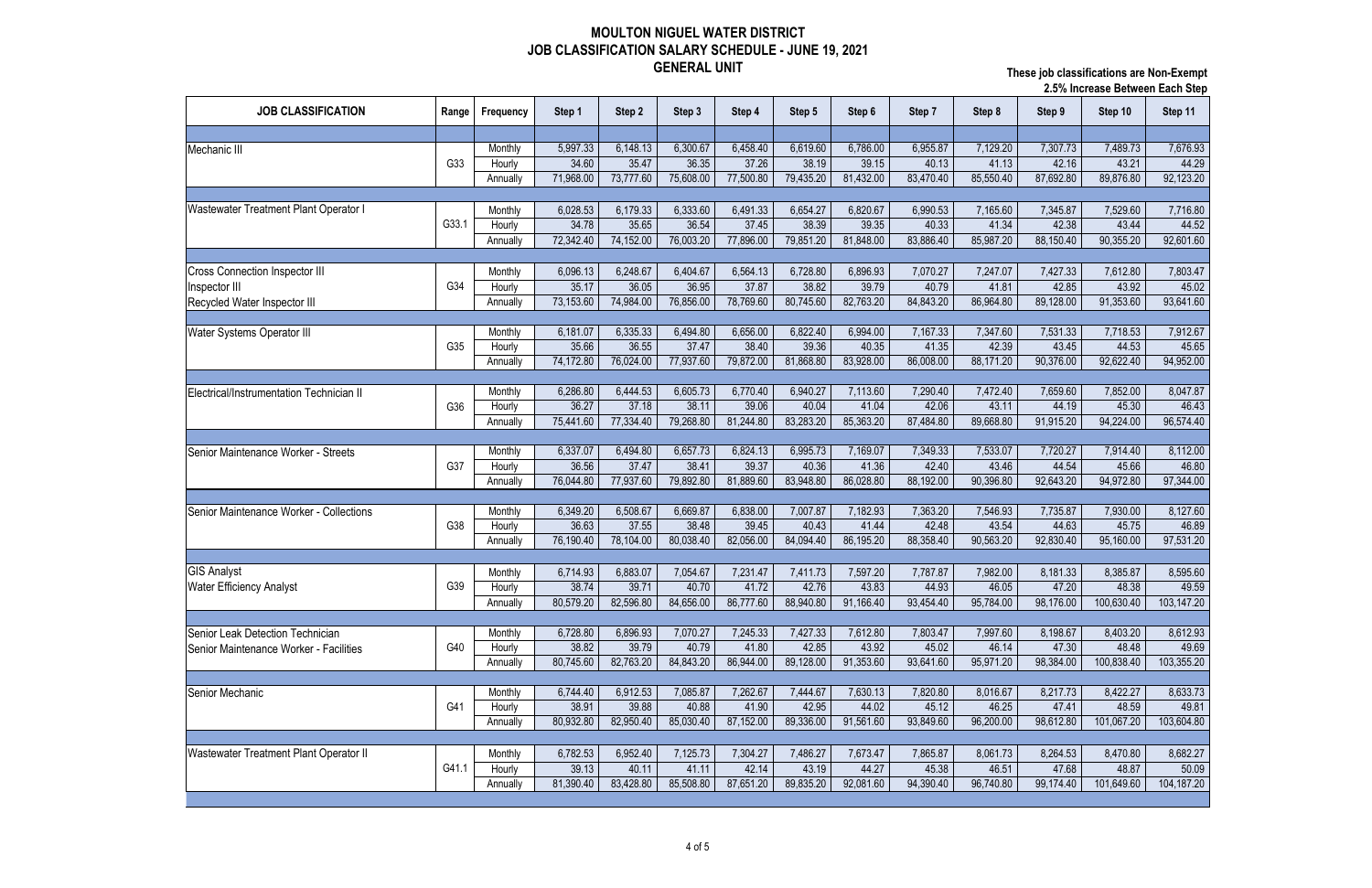|                                          |       |                   |           |           |           |           |           |           |           |           | <b>Z.J /O IIIUI CASC DELWECH EAUH OLED</b> |            |            |  |
|------------------------------------------|-------|-------------------|-----------|-----------|-----------|-----------|-----------|-----------|-----------|-----------|--------------------------------------------|------------|------------|--|
| <b>JOB CLASSIFICATION</b>                | Range | Frequency         | Step 1    | Step 2    | Step 3    | Step 4    | Step 5    | Step 6    | Step 7    | Step 8    | Step 9                                     | Step 10    | Step 11    |  |
|                                          |       |                   |           |           |           |           |           |           |           |           |                                            |            |            |  |
| Mechanic III                             |       | Monthly           | 5,997.33  | 6,148.13  | 6,300.67  | 6,458.40  | 6,619.60  | 6,786.00  | 6,955.87  | 7,129.20  | 7,307.73                                   | 7,489.73   | 7,676.93   |  |
|                                          | G33   | Hourly            | 34.60     | 35.47     | 36.35     | 37.26     | 38.19     | 39.15     | 40.13     | 41.13     | 42.16                                      | 43.21      | 44.29      |  |
|                                          |       | Annually          | 71,968.00 | 73,777.60 | 75,608.00 | 77,500.80 | 79,435.20 | 81,432.00 | 83,470.40 | 85,550.40 | 87,692.80                                  | 89,876.80  | 92,123.20  |  |
|                                          |       |                   |           |           |           |           |           |           |           |           |                                            |            |            |  |
| Wastewater Treatment Plant Operator I    |       | Monthly           | 6,028.53  | 6,179.33  | 6,333.60  | 6,491.33  | 6,654.27  | 6,820.67  | 6,990.53  | 7,165.60  | 7,345.87                                   | 7,529.60   | 7,716.80   |  |
|                                          | G33.1 | Hourly            | 34.78     | 35.65     | 36.54     | 37.45     | 38.39     | 39.35     | 40.33     | 41.34     | 42.38                                      | 43.44      | 44.52      |  |
|                                          |       | Annually          | 72,342.40 | 74,152.00 | 76,003.20 | 77,896.00 | 79,851.20 | 81,848.00 | 83,886.40 | 85,987.20 | 88,150.40                                  | 90,355.20  | 92,601.60  |  |
|                                          |       |                   |           |           |           |           |           |           |           |           |                                            |            |            |  |
| <b>Cross Connection Inspector III</b>    |       | Monthly           | 6,096.13  | 6,248.67  | 6,404.67  | 6,564.13  | 6,728.80  | 6,896.93  | 7,070.27  | 7,247.07  | 7,427.33                                   | 7,612.80   | 7,803.47   |  |
| Inspector III                            | G34   | Hourly            | 35.17     | 36.05     | 36.95     | 37.87     | 38.82     | 39.79     | 40.79     | 41.81     | 42.85                                      | 43.92      | 45.02      |  |
| Recycled Water Inspector III             |       | Annually          | 73,153.60 | 74,984.00 | 76,856.00 | 78,769.60 | 80,745.60 | 82,763.20 | 84,843.20 | 86,964.80 | 89,128.00                                  | 91,353.60  | 93,641.60  |  |
|                                          |       |                   |           |           |           |           |           |           |           |           |                                            |            |            |  |
| Water Systems Operator III               |       | Monthly           | 6,181.07  | 6,335.33  | 6,494.80  | 6,656.00  | 6,822.40  | 6,994.00  | 7,167.33  | 7,347.60  | 7,531.33                                   | 7,718.53   | 7,912.67   |  |
|                                          | G35   | Hourly            | 35.66     | 36.55     | 37.47     | 38.40     | 39.36     | 40.35     | 41.35     | 42.39     | 43.45                                      | 44.53      | 45.65      |  |
|                                          |       | Annually          | 74,172.80 | 76,024.00 | 77,937.60 | 79,872.00 | 81,868.80 | 83,928.00 | 86,008.00 | 88,171.20 | 90,376.00                                  | 92,622.40  | 94,952.00  |  |
|                                          |       |                   | 6,286.80  | 6,444.53  | 6,605.73  | 6,770.40  | 6,940.27  | 7,113.60  | 7,290.40  | 7,472.40  | 7,659.60                                   | 7,852.00   | 8,047.87   |  |
| Electrical/Instrumentation Technician II | G36   | Monthly<br>Hourly | 36.27     | 37.18     | 38.11     | 39.06     | 40.04     | 41.04     | 42.06     | 43.11     | 44.19                                      | 45.30      | 46.43      |  |
|                                          |       | Annually          | 75,441.60 | 77,334.40 | 79,268.80 | 81,244.80 | 83,283.20 | 85,363.20 | 87,484.80 | 89,668.80 | 91,915.20                                  | 94,224.00  | 96,574.40  |  |
|                                          |       |                   |           |           |           |           |           |           |           |           |                                            |            |            |  |
| Senior Maintenance Worker - Streets      |       | Monthly           | 6,337.07  | 6,494.80  | 6,657.73  | 6,824.13  | 6,995.73  | 7,169.07  | 7,349.33  | 7,533.07  | 7,720.27                                   | 7,914.40   | 8,112.00   |  |
|                                          | G37   | Hourly            | 36.56     | 37.47     | 38.41     | 39.37     | 40.36     | 41.36     | 42.40     | 43.46     | 44.54                                      | 45.66      | 46.80      |  |
|                                          |       | Annually          | 76,044.80 | 77,937.60 | 79,892.80 | 81,889.60 | 83,948.80 | 86,028.80 | 88,192.00 | 90,396.80 | 92,643.20                                  | 94,972.80  | 97,344.00  |  |
|                                          |       |                   |           |           |           |           |           |           |           |           |                                            |            |            |  |
| Senior Maintenance Worker - Collections  |       | Monthly           | 6,349.20  | 6,508.67  | 6,669.87  | 6,838.00  | 7,007.87  | 7,182.93  | 7,363.20  | 7,546.93  | 7,735.87                                   | 7,930.00   | 8,127.60   |  |
|                                          | G38   | Hourly            | 36.63     | 37.55     | 38.48     | 39.45     | 40.43     | 41.44     | 42.48     | 43.54     | 44.63                                      | 45.75      | 46.89      |  |
|                                          |       | Annually          | 76,190.40 | 78,104.00 | 80,038.40 | 82,056.00 | 84,094.40 | 86,195.20 | 88,358.40 | 90,563.20 | 92,830.40                                  | 95,160.00  | 97,531.20  |  |
|                                          |       |                   |           |           |           |           |           |           |           |           |                                            |            |            |  |
| <b>GIS Analyst</b>                       |       | Monthly           | 6,714.93  | 6,883.07  | 7,054.67  | 7,231.47  | 7,411.73  | 7,597.20  | 7,787.87  | 7,982.00  | 8,181.33                                   | 8,385.87   | 8,595.60   |  |
| Water Efficiency Analyst                 | G39   | Hourly            | 38.74     | 39.71     | 40.70     | 41.72     | 42.76     | 43.83     | 44.93     | 46.05     | 47.20                                      | 48.38      | 49.59      |  |
|                                          |       | Annually          | 80,579.20 | 82,596.80 | 84,656.00 | 86,777.60 | 88,940.80 | 91,166.40 | 93,454.40 | 95,784.00 | 98,176.00                                  | 100,630.40 | 103,147.20 |  |
|                                          |       |                   |           |           |           |           |           |           |           |           |                                            |            |            |  |
| Senior Leak Detection Technician         |       | Monthly           | 6,728.80  | 6,896.93  | 7,070.27  | 7,245.33  | 7,427.33  | 7,612.80  | 7,803.47  | 7,997.60  | 8,198.67                                   | 8,403.20   | 8,612.93   |  |
| Senior Maintenance Worker - Facilities   | G40   | Hourly            | 38.82     | 39.79     | 40.79     | 41.80     | 42.85     | 43.92     | 45.02     | 46.14     | 47.30                                      | 48.48      | 49.69      |  |
|                                          |       | Annually          | 80,745.60 | 82,763.20 | 84,843.20 | 86,944.00 | 89,128.00 | 91,353.60 | 93,641.60 | 95,971.20 | 98,384.00                                  | 100,838.40 | 103,355.20 |  |
|                                          |       |                   |           |           |           |           |           |           |           |           |                                            |            |            |  |
| Senior Mechanic                          |       | Monthly           | 6,744.40  | 6,912.53  | 7,085.87  | 7,262.67  | 7,444.67  | 7,630.13  | 7,820.80  | 8,016.67  | 8,217.73                                   | 8,422.27   | 8,633.73   |  |
|                                          | G41   | Hourly            | 38.91     | 39.88     | 40.88     | 41.90     | 42.95     | 44.02     | 45.12     | 46.25     | 47.41                                      | 48.59      | 49.81      |  |
|                                          |       | Annually          | 80,932.80 | 82,950.40 | 85,030.40 | 87,152.00 | 89,336.00 | 91,561.60 | 93,849.60 | 96,200.00 | 98,612.80                                  | 101,067.20 | 103,604.80 |  |
|                                          |       |                   |           |           |           |           |           |           |           |           |                                            |            |            |  |
| Wastewater Treatment Plant Operator II   |       | Monthly           | 6,782.53  | 6,952.40  | 7,125.73  | 7,304.27  | 7,486.27  | 7,673.47  | 7,865.87  | 8,061.73  | 8,264.53                                   | 8,470.80   | 8,682.27   |  |
|                                          | G41.1 | Hourly            | 39.13     | 40.11     | 41.11     | 42.14     | 43.19     | 44.27     | 45.38     | 46.51     | 47.68                                      | 48.87      | 50.09      |  |
|                                          |       | Annually          | 81,390.40 | 83,428.80 | 85,508.80 | 87,651.20 | 89,835.20 | 92,081.60 | 94,390.40 | 96,740.80 | 99,174.40                                  | 101,649.60 | 104,187.20 |  |
|                                          |       |                   |           |           |           |           |           |           |           |           |                                            |            |            |  |